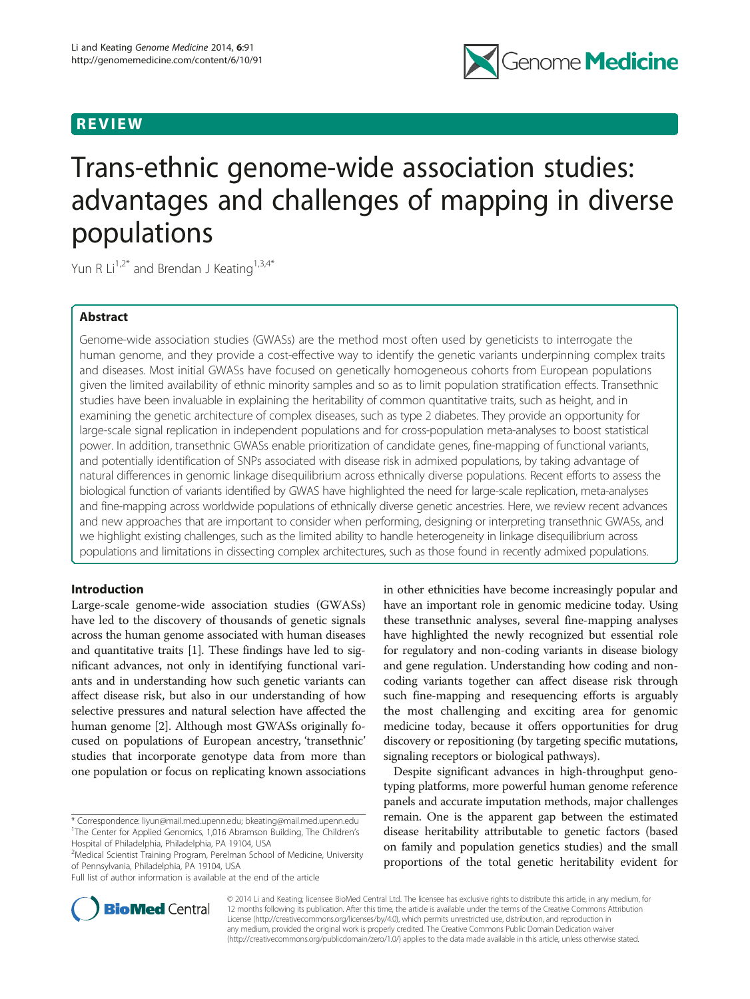## REVIEW



# Trans-ethnic genome-wide association studies: advantages and challenges of mapping in diverse populations

Yun R Li<sup>1,2\*</sup> and Brendan J Keating<sup>1,3,4\*</sup>

## Abstract

Genome-wide association studies (GWASs) are the method most often used by geneticists to interrogate the human genome, and they provide a cost-effective way to identify the genetic variants underpinning complex traits and diseases. Most initial GWASs have focused on genetically homogeneous cohorts from European populations given the limited availability of ethnic minority samples and so as to limit population stratification effects. Transethnic studies have been invaluable in explaining the heritability of common quantitative traits, such as height, and in examining the genetic architecture of complex diseases, such as type 2 diabetes. They provide an opportunity for large-scale signal replication in independent populations and for cross-population meta-analyses to boost statistical power. In addition, transethnic GWASs enable prioritization of candidate genes, fine-mapping of functional variants, and potentially identification of SNPs associated with disease risk in admixed populations, by taking advantage of natural differences in genomic linkage disequilibrium across ethnically diverse populations. Recent efforts to assess the biological function of variants identified by GWAS have highlighted the need for large-scale replication, meta-analyses and fine-mapping across worldwide populations of ethnically diverse genetic ancestries. Here, we review recent advances and new approaches that are important to consider when performing, designing or interpreting transethnic GWASs, and we highlight existing challenges, such as the limited ability to handle heterogeneity in linkage disequilibrium across populations and limitations in dissecting complex architectures, such as those found in recently admixed populations.

## Introduction

Large-scale genome-wide association studies (GWASs) have led to the discovery of thousands of genetic signals across the human genome associated with human diseases and quantitative traits [\[1](#page-9-0)]. These findings have led to significant advances, not only in identifying functional variants and in understanding how such genetic variants can affect disease risk, but also in our understanding of how selective pressures and natural selection have affected the human genome [\[2\]](#page-9-0). Although most GWASs originally focused on populations of European ancestry, 'transethnic' studies that incorporate genotype data from more than one population or focus on replicating known associations

in other ethnicities have become increasingly popular and have an important role in genomic medicine today. Using these transethnic analyses, several fine-mapping analyses have highlighted the newly recognized but essential role for regulatory and non-coding variants in disease biology and gene regulation. Understanding how coding and noncoding variants together can affect disease risk through such fine-mapping and resequencing efforts is arguably the most challenging and exciting area for genomic medicine today, because it offers opportunities for drug discovery or repositioning (by targeting specific mutations, signaling receptors or biological pathways).

Despite significant advances in high-throughput genotyping platforms, more powerful human genome reference panels and accurate imputation methods, major challenges remain. One is the apparent gap between the estimated disease heritability attributable to genetic factors (based on family and population genetics studies) and the small proportions of the total genetic heritability evident for



© 2014 Li and Keating; licensee BioMed Central Ltd. The licensee has exclusive rights to distribute this article, in any medium, for 12 months following its publication. After this time, the article is available under the terms of the Creative Commons Attribution License ([http://creativecommons.org/licenses/by/4.0\)](http://creativecommons.org/licenses/by/4.0), which permits unrestricted use, distribution, and reproduction in any medium, provided the original work is properly credited. The Creative Commons Public Domain Dedication waiver [\(http://creativecommons.org/publicdomain/zero/1.0/\)](http://creativecommons.org/publicdomain/zero/1.0/) applies to the data made available in this article, unless otherwise stated.

<sup>\*</sup> Correspondence: [liyun@mail.med.upenn.edu;](mailto:liyun@mail.med.upenn.edu) [bkeating@mail.med.upenn.edu](mailto:bkeating@mail.med.upenn.edu) <sup>1</sup> <sup>1</sup>The Center for Applied Genomics, 1,016 Abramson Building, The Children's Hospital of Philadelphia, Philadelphia, PA 19104, USA

<sup>&</sup>lt;sup>2</sup>Medical Scientist Training Program, Perelman School of Medicine, University of Pennsylvania, Philadelphia, PA 19104, USA

Full list of author information is available at the end of the article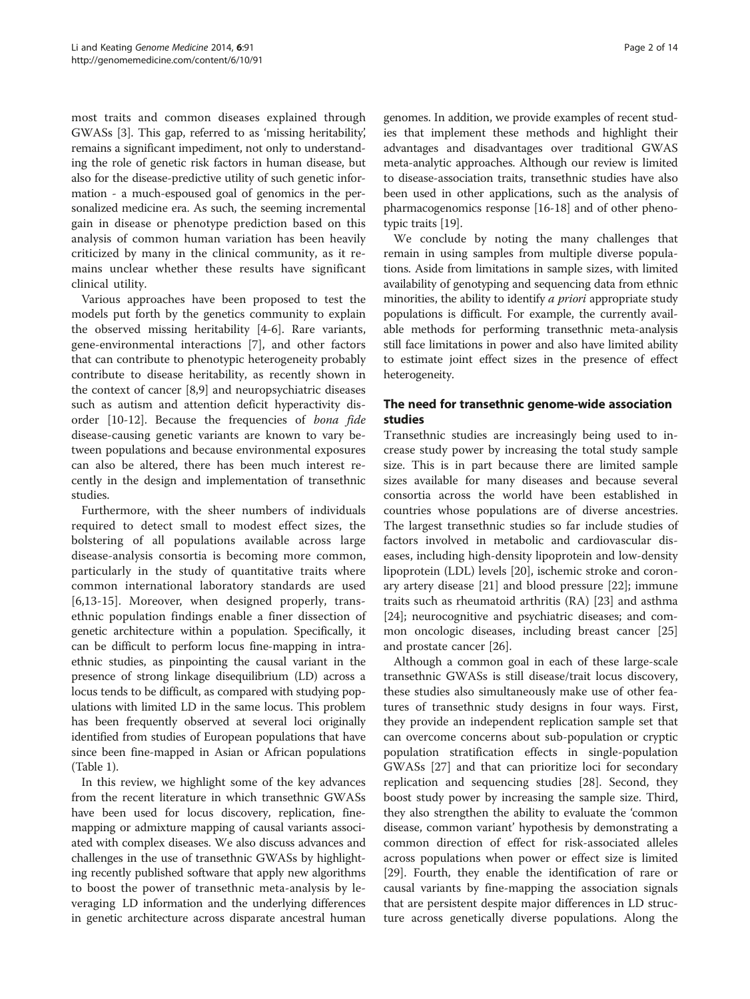most traits and common diseases explained through GWASs [\[3\]](#page-9-0). This gap, referred to as 'missing heritability', remains a significant impediment, not only to understanding the role of genetic risk factors in human disease, but also for the disease-predictive utility of such genetic information - a much-espoused goal of genomics in the personalized medicine era. As such, the seeming incremental gain in disease or phenotype prediction based on this analysis of common human variation has been heavily criticized by many in the clinical community, as it remains unclear whether these results have significant clinical utility.

Various approaches have been proposed to test the models put forth by the genetics community to explain the observed missing heritability [\[4](#page-9-0)-[6\]](#page-9-0). Rare variants, gene-environmental interactions [\[7](#page-9-0)], and other factors that can contribute to phenotypic heterogeneity probably contribute to disease heritability, as recently shown in the context of cancer [[8,9\]](#page-9-0) and neuropsychiatric diseases such as autism and attention deficit hyperactivity disorder [\[10](#page-9-0)-[12\]](#page-9-0). Because the frequencies of bona fide disease-causing genetic variants are known to vary between populations and because environmental exposures can also be altered, there has been much interest recently in the design and implementation of transethnic studies.

Furthermore, with the sheer numbers of individuals required to detect small to modest effect sizes, the bolstering of all populations available across large disease-analysis consortia is becoming more common, particularly in the study of quantitative traits where common international laboratory standards are used [[6](#page-9-0)[,13](#page-10-0)-[15\]](#page-10-0). Moreover, when designed properly, transethnic population findings enable a finer dissection of genetic architecture within a population. Specifically, it can be difficult to perform locus fine-mapping in intraethnic studies, as pinpointing the causal variant in the presence of strong linkage disequilibrium (LD) across a locus tends to be difficult, as compared with studying populations with limited LD in the same locus. This problem has been frequently observed at several loci originally identified from studies of European populations that have since been fine-mapped in Asian or African populations (Table [1](#page-2-0)).

In this review, we highlight some of the key advances from the recent literature in which transethnic GWASs have been used for locus discovery, replication, finemapping or admixture mapping of causal variants associated with complex diseases. We also discuss advances and challenges in the use of transethnic GWASs by highlighting recently published software that apply new algorithms to boost the power of transethnic meta-analysis by leveraging LD information and the underlying differences in genetic architecture across disparate ancestral human

genomes. In addition, we provide examples of recent studies that implement these methods and highlight their advantages and disadvantages over traditional GWAS meta-analytic approaches. Although our review is limited to disease-association traits, transethnic studies have also been used in other applications, such as the analysis of pharmacogenomics response [\[16-18](#page-10-0)] and of other phenotypic traits [[19](#page-10-0)].

We conclude by noting the many challenges that remain in using samples from multiple diverse populations. Aside from limitations in sample sizes, with limited availability of genotyping and sequencing data from ethnic minorities, the ability to identify *a priori* appropriate study populations is difficult. For example, the currently available methods for performing transethnic meta-analysis still face limitations in power and also have limited ability to estimate joint effect sizes in the presence of effect heterogeneity.

## The need for transethnic genome-wide association studies

Transethnic studies are increasingly being used to increase study power by increasing the total study sample size. This is in part because there are limited sample sizes available for many diseases and because several consortia across the world have been established in countries whose populations are of diverse ancestries. The largest transethnic studies so far include studies of factors involved in metabolic and cardiovascular diseases, including high-density lipoprotein and low-density lipoprotein (LDL) levels [[20](#page-10-0)], ischemic stroke and coronary artery disease [\[21](#page-10-0)] and blood pressure [[22\]](#page-10-0); immune traits such as rheumatoid arthritis (RA) [[23](#page-10-0)] and asthma [[24\]](#page-10-0); neurocognitive and psychiatric diseases; and common oncologic diseases, including breast cancer [[25](#page-10-0)] and prostate cancer [\[26](#page-10-0)].

Although a common goal in each of these large-scale transethnic GWASs is still disease/trait locus discovery, these studies also simultaneously make use of other features of transethnic study designs in four ways. First, they provide an independent replication sample set that can overcome concerns about sub-population or cryptic population stratification effects in single-population GWASs [\[27](#page-10-0)] and that can prioritize loci for secondary replication and sequencing studies [[28\]](#page-10-0). Second, they boost study power by increasing the sample size. Third, they also strengthen the ability to evaluate the 'common disease, common variant' hypothesis by demonstrating a common direction of effect for risk-associated alleles across populations when power or effect size is limited [[29\]](#page-10-0). Fourth, they enable the identification of rare or causal variants by fine-mapping the association signals that are persistent despite major differences in LD structure across genetically diverse populations. Along the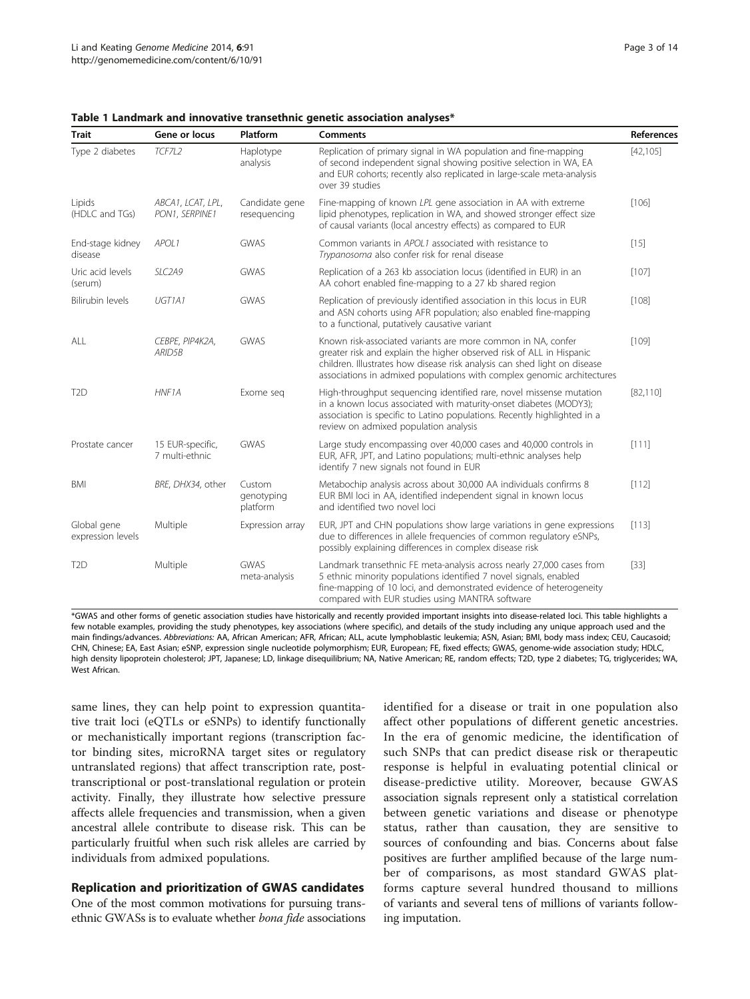| <b>Trait</b>                     | Gene or locus                       | Platform                         | <b>Comments</b>                                                                                                                                                                                                                                                                                      | References |
|----------------------------------|-------------------------------------|----------------------------------|------------------------------------------------------------------------------------------------------------------------------------------------------------------------------------------------------------------------------------------------------------------------------------------------------|------------|
| Type 2 diabetes                  | TCF7L2                              | Haplotype<br>analysis            | Replication of primary signal in WA population and fine-mapping<br>of second independent signal showing positive selection in WA, EA<br>and EUR cohorts; recently also replicated in large-scale meta-analysis<br>over 39 studies                                                                    | [42, 105]  |
| Lipids<br>(HDLC and TGs)         | ABCA1, LCAT, LPL,<br>PON1, SERPINE1 | Candidate gene<br>resequencing   | Fine-mapping of known LPL gene association in AA with extreme<br>[106]<br>lipid phenotypes, replication in WA, and showed stronger effect size<br>of causal variants (local ancestry effects) as compared to EUR                                                                                     |            |
| End-stage kidney<br>disease      | APOL1                               | <b>GWAS</b>                      | Common variants in APOL1 associated with resistance to<br>Trypanosoma also confer risk for renal disease                                                                                                                                                                                             | $[15]$     |
| Uric acid levels<br>(serum)      | SLC2A9                              | <b>GWAS</b>                      | Replication of a 263 kb association locus (identified in EUR) in an<br>AA cohort enabled fine-mapping to a 27 kb shared region                                                                                                                                                                       | [107]      |
| Bilirubin levels                 | UGT1A1                              | <b>GWAS</b>                      | Replication of previously identified association in this locus in EUR<br>[108]<br>and ASN cohorts using AFR population; also enabled fine-mapping<br>to a functional, putatively causative variant                                                                                                   |            |
| ALL                              | CEBPE, PIP4K2A,<br>ARID5B           | GWAS                             | [109]<br>Known risk-associated variants are more common in NA, confer<br>greater risk and explain the higher observed risk of ALL in Hispanic<br>children. Illustrates how disease risk analysis can shed light on disease<br>associations in admixed populations with complex genomic architectures |            |
| T <sub>2</sub> D                 | HNF1A                               | Exome seg                        | High-throughput sequencing identified rare, novel missense mutation<br>[82, 110]<br>in a known locus associated with maturity-onset diabetes (MODY3);<br>association is specific to Latino populations. Recently highlighted in a<br>review on admixed population analysis                           |            |
| Prostate cancer                  | 15 EUR-specific,<br>7 multi-ethnic  | <b>GWAS</b>                      | Large study encompassing over 40,000 cases and 40,000 controls in<br>[111]<br>EUR, AFR, JPT, and Latino populations; multi-ethnic analyses help<br>identify 7 new signals not found in EUR                                                                                                           |            |
| BMI                              | BRE, DHX34, other                   | Custom<br>genotyping<br>platform | Metabochip analysis across about 30,000 AA individuals confirms 8<br>[112]<br>EUR BMI loci in AA, identified independent signal in known locus<br>and identified two novel loci                                                                                                                      |            |
| Global gene<br>expression levels | Multiple                            | Expression array                 | EUR, JPT and CHN populations show large variations in gene expressions<br>due to differences in allele frequencies of common regulatory eSNPs,<br>possibly explaining differences in complex disease risk                                                                                            | [113]      |
| T <sub>2</sub> D                 | Multiple                            | <b>GWAS</b><br>meta-analysis     | Landmark transethnic FE meta-analysis across nearly 27,000 cases from<br>5 ethnic minority populations identified 7 novel signals, enabled<br>fine-mapping of 10 loci, and demonstrated evidence of heterogeneity<br>compared with EUR studies using MANTRA software                                 | $[33]$     |

<span id="page-2-0"></span>Table 1 Landmark and innovative transethnic genetic association analyses\*

\*GWAS and other forms of genetic association studies have historically and recently provided important insights into disease-related loci. This table highlights a few notable examples, providing the study phenotypes, key associations (where specific), and details of the study including any unique approach used and the main findings/advances. Abbreviations: AA, African American; AFR, African; ALL, acute lymphoblastic leukemia; ASN, Asian; BMI, body mass index; CEU, Caucasoid; CHN, Chinese; EA, East Asian; eSNP, expression single nucleotide polymorphism; EUR, European; FE, fixed effects; GWAS, genome-wide association study; HDLC, high density lipoprotein cholesterol; JPT, Japanese; LD, linkage disequilibrium; NA, Native American; RE, random effects; T2D, type 2 diabetes; TG, triglycerides; WA, West African.

same lines, they can help point to expression quantitative trait loci (eQTLs or eSNPs) to identify functionally or mechanistically important regions (transcription factor binding sites, microRNA target sites or regulatory untranslated regions) that affect transcription rate, posttranscriptional or post-translational regulation or protein activity. Finally, they illustrate how selective pressure affects allele frequencies and transmission, when a given ancestral allele contribute to disease risk. This can be particularly fruitful when such risk alleles are carried by individuals from admixed populations.

## Replication and prioritization of GWAS candidates

One of the most common motivations for pursuing transethnic GWASs is to evaluate whether bona fide associations identified for a disease or trait in one population also affect other populations of different genetic ancestries. In the era of genomic medicine, the identification of such SNPs that can predict disease risk or therapeutic response is helpful in evaluating potential clinical or disease-predictive utility. Moreover, because GWAS association signals represent only a statistical correlation between genetic variations and disease or phenotype status, rather than causation, they are sensitive to sources of confounding and bias. Concerns about false positives are further amplified because of the large number of comparisons, as most standard GWAS platforms capture several hundred thousand to millions of variants and several tens of millions of variants following imputation.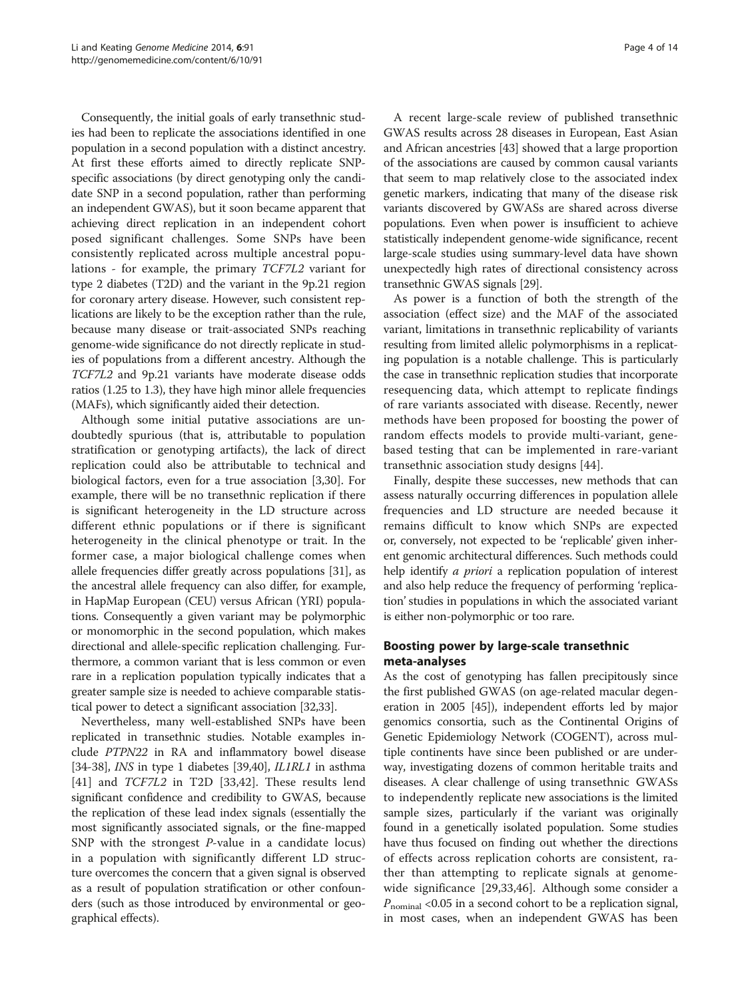Consequently, the initial goals of early transethnic studies had been to replicate the associations identified in one population in a second population with a distinct ancestry. At first these efforts aimed to directly replicate SNPspecific associations (by direct genotyping only the candidate SNP in a second population, rather than performing an independent GWAS), but it soon became apparent that achieving direct replication in an independent cohort posed significant challenges. Some SNPs have been consistently replicated across multiple ancestral populations - for example, the primary TCF7L2 variant for type 2 diabetes (T2D) and the variant in the 9p.21 region for coronary artery disease. However, such consistent replications are likely to be the exception rather than the rule, because many disease or trait-associated SNPs reaching genome-wide significance do not directly replicate in studies of populations from a different ancestry. Although the TCF7L2 and 9p.21 variants have moderate disease odds ratios (1.25 to 1.3), they have high minor allele frequencies (MAFs), which significantly aided their detection.

Although some initial putative associations are undoubtedly spurious (that is, attributable to population stratification or genotyping artifacts), the lack of direct replication could also be attributable to technical and biological factors, even for a true association [[3,](#page-9-0)[30\]](#page-10-0). For example, there will be no transethnic replication if there is significant heterogeneity in the LD structure across different ethnic populations or if there is significant heterogeneity in the clinical phenotype or trait. In the former case, a major biological challenge comes when allele frequencies differ greatly across populations [\[31\]](#page-10-0), as the ancestral allele frequency can also differ, for example, in HapMap European (CEU) versus African (YRI) populations. Consequently a given variant may be polymorphic or monomorphic in the second population, which makes directional and allele-specific replication challenging. Furthermore, a common variant that is less common or even rare in a replication population typically indicates that a greater sample size is needed to achieve comparable statistical power to detect a significant association [\[32,33](#page-10-0)].

Nevertheless, many well-established SNPs have been replicated in transethnic studies. Notable examples include PTPN22 in RA and inflammatory bowel disease [[34](#page-10-0)-[38\]](#page-11-0), *INS* in type 1 diabetes [\[39,40](#page-11-0)], *IL1RL1* in asthma [[41\]](#page-11-0) and *TCF7L2* in T2D [[33,](#page-10-0)[42\]](#page-11-0). These results lend significant confidence and credibility to GWAS, because the replication of these lead index signals (essentially the most significantly associated signals, or the fine-mapped SNP with the strongest  $P$ -value in a candidate locus) in a population with significantly different LD structure overcomes the concern that a given signal is observed as a result of population stratification or other confounders (such as those introduced by environmental or geographical effects).

A recent large-scale review of published transethnic GWAS results across 28 diseases in European, East Asian and African ancestries [\[43](#page-11-0)] showed that a large proportion of the associations are caused by common causal variants that seem to map relatively close to the associated index genetic markers, indicating that many of the disease risk variants discovered by GWASs are shared across diverse populations. Even when power is insufficient to achieve statistically independent genome-wide significance, recent large-scale studies using summary-level data have shown unexpectedly high rates of directional consistency across transethnic GWAS signals [[29\]](#page-10-0).

As power is a function of both the strength of the association (effect size) and the MAF of the associated variant, limitations in transethnic replicability of variants resulting from limited allelic polymorphisms in a replicating population is a notable challenge. This is particularly the case in transethnic replication studies that incorporate resequencing data, which attempt to replicate findings of rare variants associated with disease. Recently, newer methods have been proposed for boosting the power of random effects models to provide multi-variant, genebased testing that can be implemented in rare-variant transethnic association study designs [[44\]](#page-11-0).

Finally, despite these successes, new methods that can assess naturally occurring differences in population allele frequencies and LD structure are needed because it remains difficult to know which SNPs are expected or, conversely, not expected to be 'replicable' given inherent genomic architectural differences. Such methods could help identify *a priori* a replication population of interest and also help reduce the frequency of performing 'replication' studies in populations in which the associated variant is either non-polymorphic or too rare.

## Boosting power by large-scale transethnic meta-analyses

As the cost of genotyping has fallen precipitously since the first published GWAS (on age-related macular degeneration in 2005 [\[45\]](#page-11-0)), independent efforts led by major genomics consortia, such as the Continental Origins of Genetic Epidemiology Network (COGENT), across multiple continents have since been published or are underway, investigating dozens of common heritable traits and diseases. A clear challenge of using transethnic GWASs to independently replicate new associations is the limited sample sizes, particularly if the variant was originally found in a genetically isolated population. Some studies have thus focused on finding out whether the directions of effects across replication cohorts are consistent, rather than attempting to replicate signals at genomewide significance [[29,33,](#page-10-0)[46](#page-11-0)]. Although some consider a  $P_{nominal}$  <0.05 in a second cohort to be a replication signal, in most cases, when an independent GWAS has been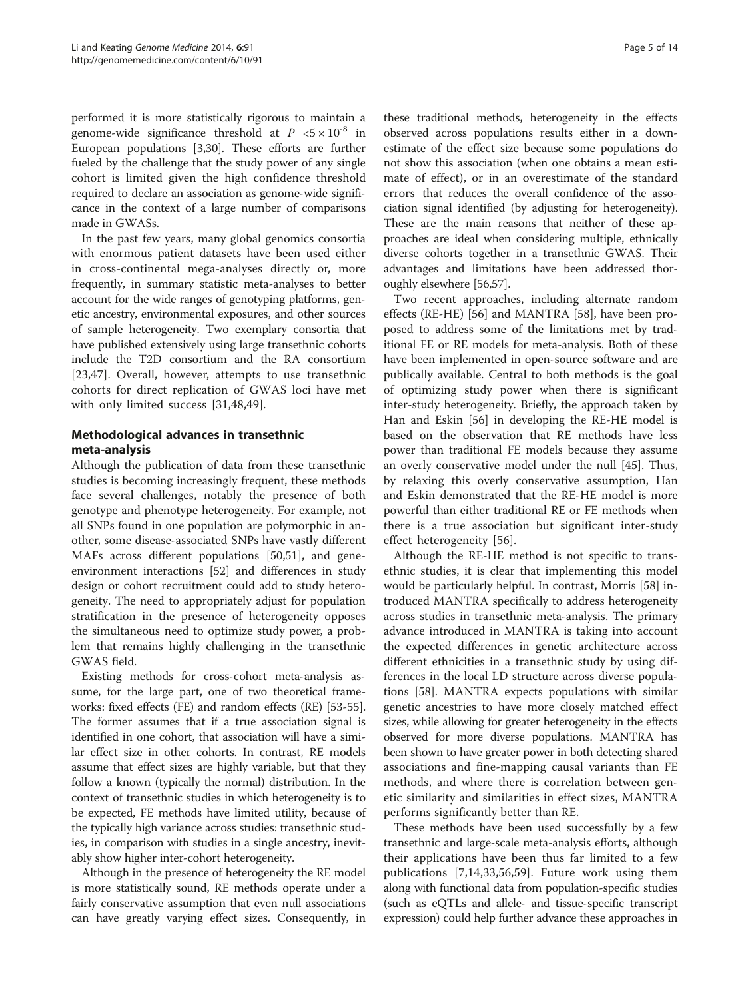performed it is more statistically rigorous to maintain a genome-wide significance threshold at  $P < 5 \times 10^{-8}$  in European populations [[3](#page-9-0)[,30](#page-10-0)]. These efforts are further fueled by the challenge that the study power of any single cohort is limited given the high confidence threshold required to declare an association as genome-wide significance in the context of a large number of comparisons made in GWASs.

In the past few years, many global genomics consortia with enormous patient datasets have been used either in cross-continental mega-analyses directly or, more frequently, in summary statistic meta-analyses to better account for the wide ranges of genotyping platforms, genetic ancestry, environmental exposures, and other sources of sample heterogeneity. Two exemplary consortia that have published extensively using large transethnic cohorts include the T2D consortium and the RA consortium [[23](#page-10-0)[,47](#page-11-0)]. Overall, however, attempts to use transethnic cohorts for direct replication of GWAS loci have met with only limited success [\[31](#page-10-0),[48,49\]](#page-11-0).

## Methodological advances in transethnic meta-analysis

Although the publication of data from these transethnic studies is becoming increasingly frequent, these methods face several challenges, notably the presence of both genotype and phenotype heterogeneity. For example, not all SNPs found in one population are polymorphic in another, some disease-associated SNPs have vastly different MAFs across different populations [[50,51\]](#page-11-0), and geneenvironment interactions [[52](#page-11-0)] and differences in study design or cohort recruitment could add to study heterogeneity. The need to appropriately adjust for population stratification in the presence of heterogeneity opposes the simultaneous need to optimize study power, a problem that remains highly challenging in the transethnic GWAS field.

Existing methods for cross-cohort meta-analysis assume, for the large part, one of two theoretical frameworks: fixed effects (FE) and random effects (RE) [[53](#page-11-0)-[55](#page-11-0)]. The former assumes that if a true association signal is identified in one cohort, that association will have a similar effect size in other cohorts. In contrast, RE models assume that effect sizes are highly variable, but that they follow a known (typically the normal) distribution. In the context of transethnic studies in which heterogeneity is to be expected, FE methods have limited utility, because of the typically high variance across studies: transethnic studies, in comparison with studies in a single ancestry, inevitably show higher inter-cohort heterogeneity.

Although in the presence of heterogeneity the RE model is more statistically sound, RE methods operate under a fairly conservative assumption that even null associations can have greatly varying effect sizes. Consequently, in

these traditional methods, heterogeneity in the effects observed across populations results either in a downestimate of the effect size because some populations do not show this association (when one obtains a mean estimate of effect), or in an overestimate of the standard errors that reduces the overall confidence of the association signal identified (by adjusting for heterogeneity). These are the main reasons that neither of these approaches are ideal when considering multiple, ethnically diverse cohorts together in a transethnic GWAS. Their advantages and limitations have been addressed thoroughly elsewhere [\[56,57](#page-11-0)].

Two recent approaches, including alternate random effects (RE-HE) [[56](#page-11-0)] and MANTRA [[58\]](#page-11-0), have been proposed to address some of the limitations met by traditional FE or RE models for meta-analysis. Both of these have been implemented in open-source software and are publically available. Central to both methods is the goal of optimizing study power when there is significant inter-study heterogeneity. Briefly, the approach taken by Han and Eskin [\[56\]](#page-11-0) in developing the RE-HE model is based on the observation that RE methods have less power than traditional FE models because they assume an overly conservative model under the null [[45](#page-11-0)]. Thus, by relaxing this overly conservative assumption, Han and Eskin demonstrated that the RE-HE model is more powerful than either traditional RE or FE methods when there is a true association but significant inter-study effect heterogeneity [[56\]](#page-11-0).

Although the RE-HE method is not specific to transethnic studies, it is clear that implementing this model would be particularly helpful. In contrast, Morris [\[58\]](#page-11-0) introduced MANTRA specifically to address heterogeneity across studies in transethnic meta-analysis. The primary advance introduced in MANTRA is taking into account the expected differences in genetic architecture across different ethnicities in a transethnic study by using differences in the local LD structure across diverse populations [[58](#page-11-0)]. MANTRA expects populations with similar genetic ancestries to have more closely matched effect sizes, while allowing for greater heterogeneity in the effects observed for more diverse populations. MANTRA has been shown to have greater power in both detecting shared associations and fine-mapping causal variants than FE methods, and where there is correlation between genetic similarity and similarities in effect sizes, MANTRA performs significantly better than RE.

These methods have been used successfully by a few transethnic and large-scale meta-analysis efforts, although their applications have been thus far limited to a few publications [\[7](#page-9-0),[14,33,](#page-10-0)[56,59](#page-11-0)]. Future work using them along with functional data from population-specific studies (such as eQTLs and allele- and tissue-specific transcript expression) could help further advance these approaches in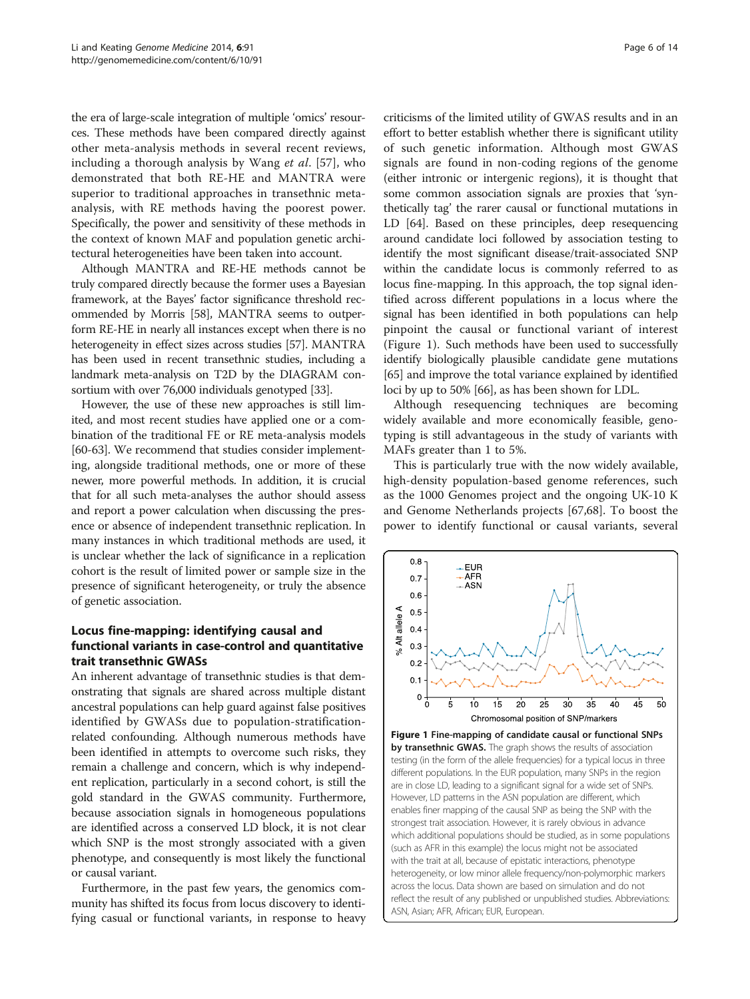the era of large-scale integration of multiple 'omics' resources. These methods have been compared directly against other meta-analysis methods in several recent reviews, including a thorough analysis by Wang et al. [\[57](#page-11-0)], who demonstrated that both RE-HE and MANTRA were superior to traditional approaches in transethnic metaanalysis, with RE methods having the poorest power. Specifically, the power and sensitivity of these methods in the context of known MAF and population genetic architectural heterogeneities have been taken into account.

Although MANTRA and RE-HE methods cannot be truly compared directly because the former uses a Bayesian framework, at the Bayes' factor significance threshold recommended by Morris [\[58\]](#page-11-0), MANTRA seems to outperform RE-HE in nearly all instances except when there is no heterogeneity in effect sizes across studies [[57](#page-11-0)]. MANTRA has been used in recent transethnic studies, including a landmark meta-analysis on T2D by the DIAGRAM consortium with over 76,000 individuals genotyped [[33](#page-10-0)].

However, the use of these new approaches is still limited, and most recent studies have applied one or a combination of the traditional FE or RE meta-analysis models [[60](#page-11-0)-[63\]](#page-11-0). We recommend that studies consider implementing, alongside traditional methods, one or more of these newer, more powerful methods. In addition, it is crucial that for all such meta-analyses the author should assess and report a power calculation when discussing the presence or absence of independent transethnic replication. In many instances in which traditional methods are used, it is unclear whether the lack of significance in a replication cohort is the result of limited power or sample size in the presence of significant heterogeneity, or truly the absence of genetic association.

## Locus fine-mapping: identifying causal and functional variants in case-control and quantitative trait transethnic GWASs

An inherent advantage of transethnic studies is that demonstrating that signals are shared across multiple distant ancestral populations can help guard against false positives identified by GWASs due to population-stratificationrelated confounding. Although numerous methods have been identified in attempts to overcome such risks, they remain a challenge and concern, which is why independent replication, particularly in a second cohort, is still the gold standard in the GWAS community. Furthermore, because association signals in homogeneous populations are identified across a conserved LD block, it is not clear which SNP is the most strongly associated with a given phenotype, and consequently is most likely the functional or causal variant.

Furthermore, in the past few years, the genomics community has shifted its focus from locus discovery to identifying casual or functional variants, in response to heavy

criticisms of the limited utility of GWAS results and in an effort to better establish whether there is significant utility of such genetic information. Although most GWAS signals are found in non-coding regions of the genome (either intronic or intergenic regions), it is thought that some common association signals are proxies that 'synthetically tag' the rarer causal or functional mutations in LD [[64](#page-11-0)]. Based on these principles, deep resequencing around candidate loci followed by association testing to identify the most significant disease/trait-associated SNP within the candidate locus is commonly referred to as locus fine-mapping. In this approach, the top signal identified across different populations in a locus where the signal has been identified in both populations can help pinpoint the causal or functional variant of interest (Figure 1). Such methods have been used to successfully identify biologically plausible candidate gene mutations [[65](#page-11-0)] and improve the total variance explained by identified loci by up to 50% [[66](#page-11-0)], as has been shown for LDL.

Although resequencing techniques are becoming widely available and more economically feasible, genotyping is still advantageous in the study of variants with MAFs greater than 1 to 5%.

This is particularly true with the now widely available, high-density population-based genome references, such as the 1000 Genomes project and the ongoing UK-10 K and Genome Netherlands projects [\[67,68\]](#page-11-0). To boost the power to identify functional or causal variants, several



Figure 1 Fine-mapping of candidate causal or functional SNPs by transethnic GWAS. The graph shows the results of association testing (in the form of the allele frequencies) for a typical locus in three different populations. In the EUR population, many SNPs in the region are in close LD, leading to a significant signal for a wide set of SNPs. However, LD patterns in the ASN population are different, which enables finer mapping of the causal SNP as being the SNP with the strongest trait association. However, it is rarely obvious in advance which additional populations should be studied, as in some populations (such as AFR in this example) the locus might not be associated with the trait at all, because of epistatic interactions, phenotype heterogeneity, or low minor allele frequency/non-polymorphic markers across the locus. Data shown are based on simulation and do not reflect the result of any published or unpublished studies. Abbreviations: ASN, Asian; AFR, African; EUR, European.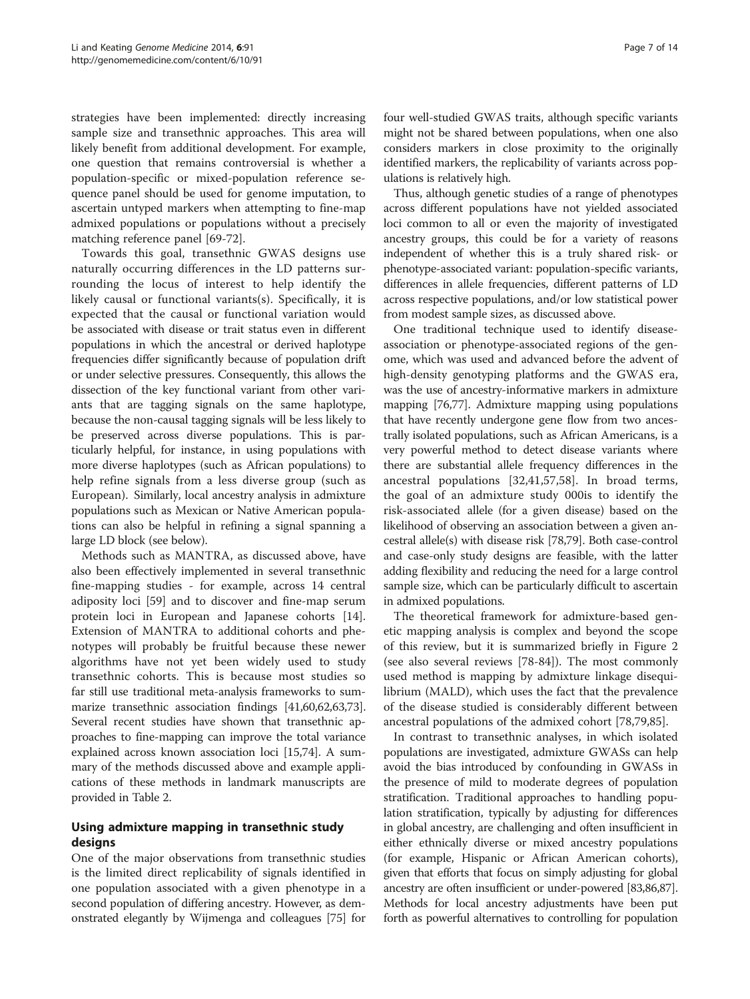strategies have been implemented: directly increasing sample size and transethnic approaches. This area will likely benefit from additional development. For example, one question that remains controversial is whether a population-specific or mixed-population reference sequence panel should be used for genome imputation, to ascertain untyped markers when attempting to fine-map admixed populations or populations without a precisely matching reference panel [\[69](#page-11-0)-[72\]](#page-12-0).

Towards this goal, transethnic GWAS designs use naturally occurring differences in the LD patterns surrounding the locus of interest to help identify the likely causal or functional variants(s). Specifically, it is expected that the causal or functional variation would be associated with disease or trait status even in different populations in which the ancestral or derived haplotype frequencies differ significantly because of population drift or under selective pressures. Consequently, this allows the dissection of the key functional variant from other variants that are tagging signals on the same haplotype, because the non-causal tagging signals will be less likely to be preserved across diverse populations. This is particularly helpful, for instance, in using populations with more diverse haplotypes (such as African populations) to help refine signals from a less diverse group (such as European). Similarly, local ancestry analysis in admixture populations such as Mexican or Native American populations can also be helpful in refining a signal spanning a large LD block (see below).

Methods such as MANTRA, as discussed above, have also been effectively implemented in several transethnic fine-mapping studies - for example, across 14 central adiposity loci [\[59\]](#page-11-0) and to discover and fine-map serum protein loci in European and Japanese cohorts [\[14](#page-10-0)]. Extension of MANTRA to additional cohorts and phenotypes will probably be fruitful because these newer algorithms have not yet been widely used to study transethnic cohorts. This is because most studies so far still use traditional meta-analysis frameworks to summarize transethnic association findings [[41,60,62,63,](#page-11-0)[73](#page-12-0)]. Several recent studies have shown that transethnic approaches to fine-mapping can improve the total variance explained across known association loci [\[15,](#page-10-0)[74\]](#page-12-0). A summary of the methods discussed above and example applications of these methods in landmark manuscripts are provided in Table [2](#page-7-0).

## Using admixture mapping in transethnic study designs

One of the major observations from transethnic studies is the limited direct replicability of signals identified in one population associated with a given phenotype in a second population of differing ancestry. However, as demonstrated elegantly by Wijmenga and colleagues [\[75](#page-12-0)] for four well-studied GWAS traits, although specific variants might not be shared between populations, when one also considers markers in close proximity to the originally identified markers, the replicability of variants across populations is relatively high.

Thus, although genetic studies of a range of phenotypes across different populations have not yielded associated loci common to all or even the majority of investigated ancestry groups, this could be for a variety of reasons independent of whether this is a truly shared risk- or phenotype-associated variant: population-specific variants, differences in allele frequencies, different patterns of LD across respective populations, and/or low statistical power from modest sample sizes, as discussed above.

One traditional technique used to identify diseaseassociation or phenotype-associated regions of the genome, which was used and advanced before the advent of high-density genotyping platforms and the GWAS era, was the use of ancestry-informative markers in admixture mapping [\[76,77\]](#page-12-0). Admixture mapping using populations that have recently undergone gene flow from two ancestrally isolated populations, such as African Americans, is a very powerful method to detect disease variants where there are substantial allele frequency differences in the ancestral populations [\[32](#page-10-0),[41,57,58\]](#page-11-0). In broad terms, the goal of an admixture study 000is to identify the risk-associated allele (for a given disease) based on the likelihood of observing an association between a given ancestral allele(s) with disease risk [\[78,79](#page-12-0)]. Both case-control and case-only study designs are feasible, with the latter adding flexibility and reducing the need for a large control sample size, which can be particularly difficult to ascertain in admixed populations.

The theoretical framework for admixture-based genetic mapping analysis is complex and beyond the scope of this review, but it is summarized briefly in Figure [2](#page-8-0) (see also several reviews [\[78](#page-12-0)-[84\]](#page-12-0)). The most commonly used method is mapping by admixture linkage disequilibrium (MALD), which uses the fact that the prevalence of the disease studied is considerably different between ancestral populations of the admixed cohort [\[78,79,85\]](#page-12-0).

In contrast to transethnic analyses, in which isolated populations are investigated, admixture GWASs can help avoid the bias introduced by confounding in GWASs in the presence of mild to moderate degrees of population stratification. Traditional approaches to handling population stratification, typically by adjusting for differences in global ancestry, are challenging and often insufficient in either ethnically diverse or mixed ancestry populations (for example, Hispanic or African American cohorts), given that efforts that focus on simply adjusting for global ancestry are often insufficient or under-powered [[83,86,87](#page-12-0)]. Methods for local ancestry adjustments have been put forth as powerful alternatives to controlling for population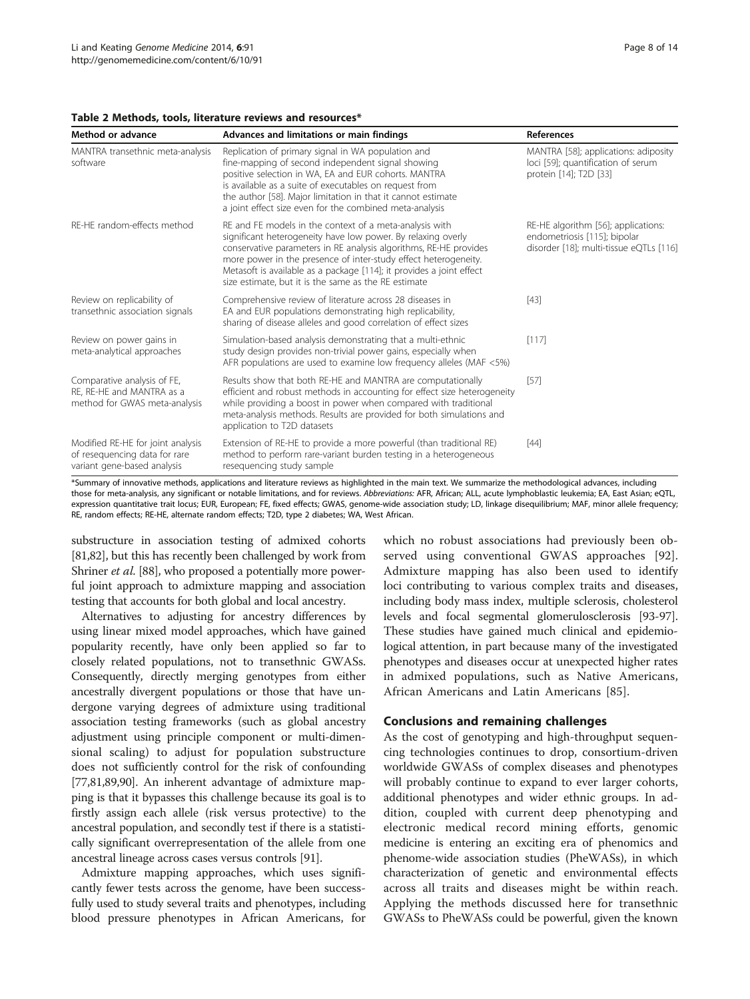#### <span id="page-7-0"></span>Table 2 Methods, tools, literature reviews and resources\*

| <b>Method or advance</b>                                                                          | Advances and limitations or main findings                                                                                                                                                                                                                                                                                                                                                       | <b>References</b>                                                                                              |  |
|---------------------------------------------------------------------------------------------------|-------------------------------------------------------------------------------------------------------------------------------------------------------------------------------------------------------------------------------------------------------------------------------------------------------------------------------------------------------------------------------------------------|----------------------------------------------------------------------------------------------------------------|--|
| MANTRA transethnic meta-analysis<br>software                                                      | Replication of primary signal in WA population and<br>fine-mapping of second independent signal showing<br>positive selection in WA, EA and EUR cohorts. MANTRA<br>is available as a suite of executables on request from<br>the author [58]. Major limitation in that it cannot estimate<br>a joint effect size even for the combined meta-analysis                                            | MANTRA [58]; applications: adiposity<br>loci [59]; quantification of serum<br>protein [14]; T2D [33]           |  |
| RF-HF random-effects method                                                                       | RE and FE models in the context of a meta-analysis with<br>significant heterogeneity have low power. By relaxing overly<br>conservative parameters in RE analysis algorithms, RE-HE provides<br>more power in the presence of inter-study effect heterogeneity.<br>Metasoft is available as a package [114]; it provides a joint effect<br>size estimate, but it is the same as the RE estimate | RE-HE algorithm [56]; applications:<br>endometriosis [115]; bipolar<br>disorder [18]; multi-tissue eQTLs [116] |  |
| Review on replicability of<br>transethnic association signals                                     | Comprehensive review of literature across 28 diseases in<br>EA and EUR populations demonstrating high replicability,<br>sharing of disease alleles and good correlation of effect sizes                                                                                                                                                                                                         | $[43]$                                                                                                         |  |
| Review on power gains in<br>meta-analytical approaches                                            | Simulation-based analysis demonstrating that a multi-ethnic<br>study design provides non-trivial power gains, especially when<br>AFR populations are used to examine low frequency alleles (MAF <5%)                                                                                                                                                                                            | [117]                                                                                                          |  |
| Comparative analysis of FE,<br>RE, RE-HE and MANTRA as a<br>method for GWAS meta-analysis         | Results show that both RE-HE and MANTRA are computationally<br>efficient and robust methods in accounting for effect size heterogeneity<br>while providing a boost in power when compared with traditional<br>meta-analysis methods. Results are provided for both simulations and<br>application to T2D datasets                                                                               | [57]                                                                                                           |  |
| Modified RE-HE for joint analysis<br>of resequencing data for rare<br>variant gene-based analysis | Extension of RE-HE to provide a more powerful (than traditional RE)<br>method to perform rare-variant burden testing in a heterogeneous<br>resequencing study sample                                                                                                                                                                                                                            | $[44]$                                                                                                         |  |

\*Summary of innovative methods, applications and literature reviews as highlighted in the main text. We summarize the methodological advances, including those for meta-analysis, any significant or notable limitations, and for reviews. Abbreviations: AFR, African; ALL, acute lymphoblastic leukemia; EA, East Asian; eQTL, expression quantitative trait locus; EUR, European; FE, fixed effects; GWAS, genome-wide association study; LD, linkage disequilibrium; MAF, minor allele frequency; RE, random effects; RE-HE, alternate random effects; T2D, type 2 diabetes; WA, West African.

substructure in association testing of admixed cohorts [[81,82\]](#page-12-0), but this has recently been challenged by work from Shriner *et al.* [\[88\]](#page-12-0), who proposed a potentially more powerful joint approach to admixture mapping and association testing that accounts for both global and local ancestry.

Alternatives to adjusting for ancestry differences by using linear mixed model approaches, which have gained popularity recently, have only been applied so far to closely related populations, not to transethnic GWASs. Consequently, directly merging genotypes from either ancestrally divergent populations or those that have undergone varying degrees of admixture using traditional association testing frameworks (such as global ancestry adjustment using principle component or multi-dimensional scaling) to adjust for population substructure does not sufficiently control for the risk of confounding [[77,81,89,90](#page-12-0)]. An inherent advantage of admixture mapping is that it bypasses this challenge because its goal is to firstly assign each allele (risk versus protective) to the ancestral population, and secondly test if there is a statistically significant overrepresentation of the allele from one ancestral lineage across cases versus controls [\[91\]](#page-12-0).

Admixture mapping approaches, which uses significantly fewer tests across the genome, have been successfully used to study several traits and phenotypes, including blood pressure phenotypes in African Americans, for

which no robust associations had previously been observed using conventional GWAS approaches [\[92](#page-12-0)]. Admixture mapping has also been used to identify loci contributing to various complex traits and diseases, including body mass index, multiple sclerosis, cholesterol levels and focal segmental glomerulosclerosis [[93](#page-12-0)-[97](#page-12-0)]. These studies have gained much clinical and epidemiological attention, in part because many of the investigated phenotypes and diseases occur at unexpected higher rates in admixed populations, such as Native Americans, African Americans and Latin Americans [[85\]](#page-12-0).

#### Conclusions and remaining challenges

As the cost of genotyping and high-throughput sequencing technologies continues to drop, consortium-driven worldwide GWASs of complex diseases and phenotypes will probably continue to expand to ever larger cohorts, additional phenotypes and wider ethnic groups. In addition, coupled with current deep phenotyping and electronic medical record mining efforts, genomic medicine is entering an exciting era of phenomics and phenome-wide association studies (PheWASs), in which characterization of genetic and environmental effects across all traits and diseases might be within reach. Applying the methods discussed here for transethnic GWASs to PheWASs could be powerful, given the known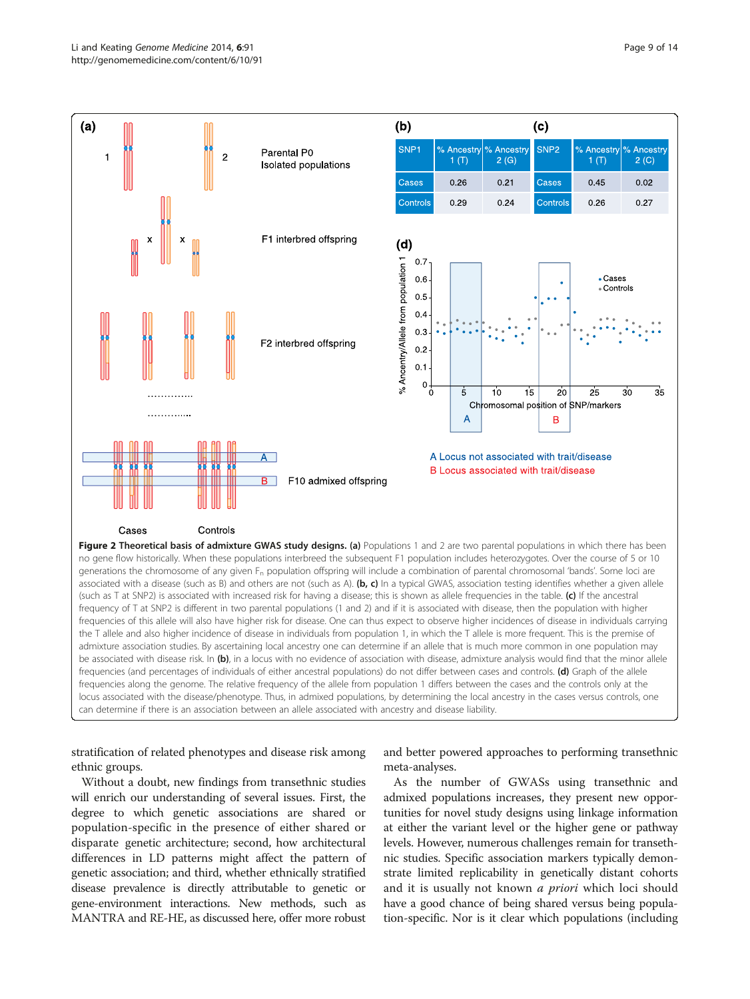<span id="page-8-0"></span>

stratification of related phenotypes and disease risk among ethnic groups.

Without a doubt, new findings from transethnic studies will enrich our understanding of several issues. First, the degree to which genetic associations are shared or population-specific in the presence of either shared or disparate genetic architecture; second, how architectural differences in LD patterns might affect the pattern of genetic association; and third, whether ethnically stratified disease prevalence is directly attributable to genetic or gene-environment interactions. New methods, such as MANTRA and RE-HE, as discussed here, offer more robust

and better powered approaches to performing transethnic meta-analyses.

As the number of GWASs using transethnic and admixed populations increases, they present new opportunities for novel study designs using linkage information at either the variant level or the higher gene or pathway levels. However, numerous challenges remain for transethnic studies. Specific association markers typically demonstrate limited replicability in genetically distant cohorts and it is usually not known *a priori* which loci should have a good chance of being shared versus being population-specific. Nor is it clear which populations (including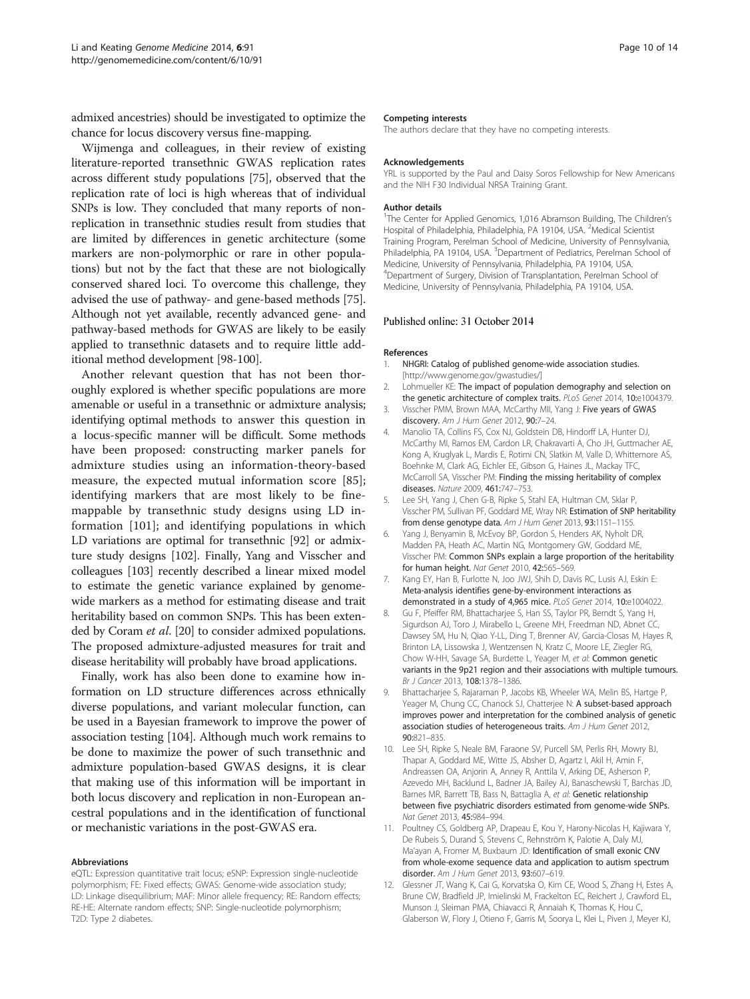<span id="page-9-0"></span>admixed ancestries) should be investigated to optimize the chance for locus discovery versus fine-mapping.

Wijmenga and colleagues, in their review of existing literature-reported transethnic GWAS replication rates across different study populations [[75\]](#page-12-0), observed that the replication rate of loci is high whereas that of individual SNPs is low. They concluded that many reports of nonreplication in transethnic studies result from studies that are limited by differences in genetic architecture (some markers are non-polymorphic or rare in other populations) but not by the fact that these are not biologically conserved shared loci. To overcome this challenge, they advised the use of pathway- and gene-based methods [[75](#page-12-0)]. Although not yet available, recently advanced gene- and pathway-based methods for GWAS are likely to be easily applied to transethnic datasets and to require little additional method development [\[98-100](#page-12-0)].

Another relevant question that has not been thoroughly explored is whether specific populations are more amenable or useful in a transethnic or admixture analysis; identifying optimal methods to answer this question in a locus-specific manner will be difficult. Some methods have been proposed: constructing marker panels for admixture studies using an information-theory-based measure, the expected mutual information score [\[85](#page-12-0)]; identifying markers that are most likely to be finemappable by transethnic study designs using LD information [[101\]](#page-12-0); and identifying populations in which LD variations are optimal for transethnic [\[92\]](#page-12-0) or admixture study designs [\[102](#page-12-0)]. Finally, Yang and Visscher and colleagues [\[103\]](#page-12-0) recently described a linear mixed model to estimate the genetic variance explained by genomewide markers as a method for estimating disease and trait heritability based on common SNPs. This has been exten-ded by Coram et al. [[20](#page-10-0)] to consider admixed populations. The proposed admixture-adjusted measures for trait and disease heritability will probably have broad applications.

Finally, work has also been done to examine how information on LD structure differences across ethnically diverse populations, and variant molecular function, can be used in a Bayesian framework to improve the power of association testing [[104](#page-12-0)]. Although much work remains to be done to maximize the power of such transethnic and admixture population-based GWAS designs, it is clear that making use of this information will be important in both locus discovery and replication in non-European ancestral populations and in the identification of functional or mechanistic variations in the post-GWAS era.

#### Abbreviations

eQTL: Expression quantitative trait locus; eSNP: Expression single-nucleotide polymorphism; FE: Fixed effects; GWAS: Genome-wide association study; LD: Linkage disequilibrium; MAF: Minor allele frequency; RE: Random effects; RE-HE: Alternate random effects; SNP: Single-nucleotide polymorphism; T2D: Type 2 diabetes.

#### Competing interests

The authors declare that they have no competing interests.

#### Acknowledgements

YRL is supported by the Paul and Daisy Soros Fellowship for New Americans and the NIH F30 Individual NRSA Training Grant.

#### Author details

<sup>1</sup>The Center for Applied Genomics, 1,016 Abramson Building, The Children's Hospital of Philadelphia, Philadelphia, PA 19104, USA. <sup>2</sup>Medical Scientist Training Program, Perelman School of Medicine, University of Pennsylvania, Philadelphia, PA 19104, USA. <sup>3</sup>Department of Pediatrics, Perelman School of Medicine, University of Pennsylvania, Philadelphia, PA 19104, USA. 4 Department of Surgery, Division of Transplantation, Perelman School of Medicine, University of Pennsylvania, Philadelphia, PA 19104, USA.

#### Published online: 31 October 2014

#### References

- 1. NHGRI: Catalog of published genome-wide association studies. [[http://www.genome.gov/gwastudies/\]](http://www.genome.gov/gwastudies/)
- 2. Lohmueller KE: The impact of population demography and selection on the genetic architecture of complex traits. PLoS Genet 2014, 10:e1004379.
- 3. Visscher PMM, Brown MAA, McCarthy MII, Yang J: Five years of GWAS discovery. Am J Hum Genet 2012, 90:7-24.
- 4. Manolio TA, Collins FS, Cox NJ, Goldstein DB, Hindorff LA, Hunter DJ, McCarthy MI, Ramos EM, Cardon LR, Chakravarti A, Cho JH, Guttmacher AE, Kong A, Kruglyak L, Mardis E, Rotimi CN, Slatkin M, Valle D, Whittemore AS, Boehnke M, Clark AG, Eichler EE, Gibson G, Haines JL, Mackay TFC, McCarroll SA, Visscher PM: Finding the missing heritability of complex diseases. Nature 2009, 461:747–753.
- Lee SH, Yang J, Chen G-B, Ripke S, Stahl EA, Hultman CM, Sklar P, Visscher PM, Sullivan PF, Goddard ME, Wray NR: Estimation of SNP heritability from dense genotype data. Am J Hum Genet 2013, 93:1151-1155.
- 6. Yang J, Benyamin B, McEvoy BP, Gordon S, Henders AK, Nyholt DR, Madden PA, Heath AC, Martin NG, Montgomery GW, Goddard ME, Visscher PM: Common SNPs explain a large proportion of the heritability for human height. Nat Genet 2010, 42:565–569.
- 7. Kang EY, Han B, Furlotte N, Joo JWJ, Shih D, Davis RC, Lusis AJ, Eskin E: Meta-analysis identifies gene-by-environment interactions as demonstrated in a study of 4,965 mice. PLoS Genet 2014, 10:e1004022.
- 8. Gu F, Pfeiffer RM, Bhattacharjee S, Han SS, Taylor PR, Berndt S, Yang H, Sigurdson AJ, Toro J, Mirabello L, Greene MH, Freedman ND, Abnet CC, Dawsey SM, Hu N, Qiao Y-LL, Ding T, Brenner AV, Garcia-Closas M, Hayes R, Brinton LA, Lissowska J, Wentzensen N, Kratz C, Moore LE, Ziegler RG, Chow W-HH, Savage SA, Burdette L, Yeager M, et al: Common genetic variants in the 9p21 region and their associations with multiple tumours. Br J Cancer 2013, 108:1378–1386.
- 9. Bhattacharjee S, Rajaraman P, Jacobs KB, Wheeler WA, Melin BS, Hartge P, Yeager M, Chung CC, Chanock SJ, Chatterjee N: A subset-based approach improves power and interpretation for the combined analysis of genetic association studies of heterogeneous traits. Am J Hum Genet 2012, 90:821–835.
- 10. Lee SH, Ripke S, Neale BM, Faraone SV, Purcell SM, Perlis RH, Mowry BJ, Thapar A, Goddard ME, Witte JS, Absher D, Agartz I, Akil H, Amin F, Andreassen OA, Anjorin A, Anney R, Anttila V, Arking DE, Asherson P, Azevedo MH, Backlund L, Badner JA, Bailey AJ, Banaschewski T, Barchas JD, Barnes MR, Barrett TB, Bass N, Battaglia A, et al: Genetic relationship between five psychiatric disorders estimated from genome-wide SNPs. Nat Genet 2013, 45:984–994.
- 11. Poultney CS, Goldberg AP, Drapeau E, Kou Y, Harony-Nicolas H, Kajiwara Y, De Rubeis S, Durand S, Stevens C, Rehnström K, Palotie A, Daly MJ, Ma'ayan A, Fromer M, Buxbaum JD: Identification of small exonic CNV from whole-exome sequence data and application to autism spectrum disorder. Am J Hum Genet 2013, 93:607–619.
- 12. Glessner JT, Wang K, Cai G, Korvatska O, Kim CE, Wood S, Zhang H, Estes A, Brune CW, Bradfield JP, Imielinski M, Frackelton EC, Reichert J, Crawford EL, Munson J, Sleiman PMA, Chiavacci R, Annaiah K, Thomas K, Hou C, Glaberson W, Flory J, Otieno F, Garris M, Soorya L, Klei L, Piven J, Meyer KJ,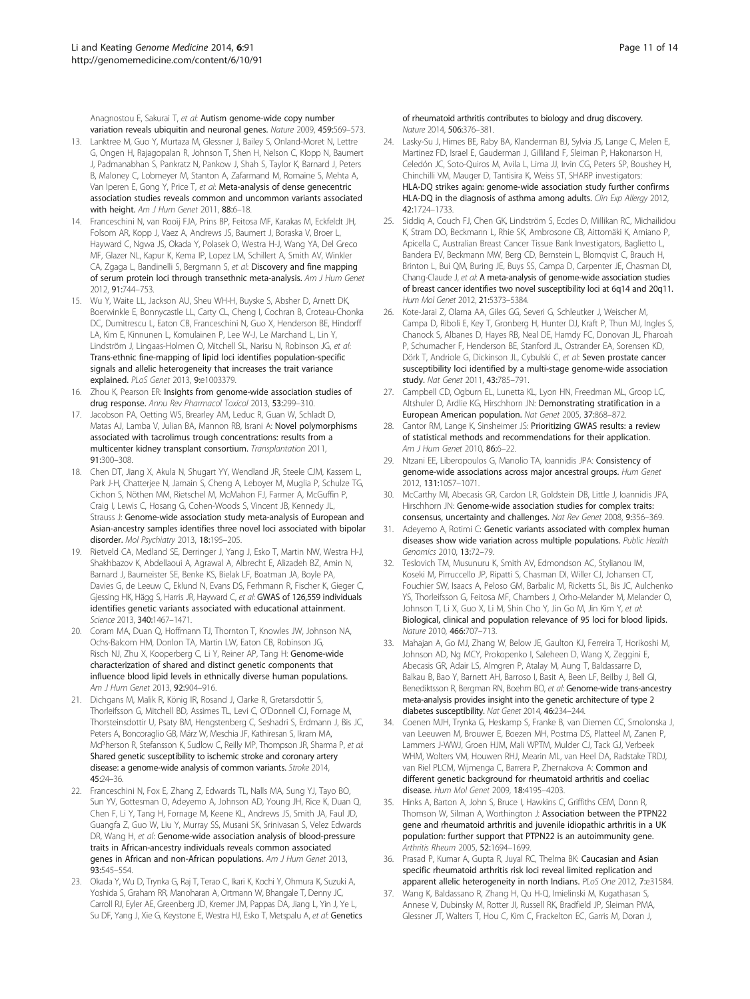<span id="page-10-0"></span>Anagnostou E, Sakurai T, et al: Autism genome-wide copy number variation reveals ubiquitin and neuronal genes. Nature 2009, 459:569–573.

- 13. Lanktree M, Guo Y, Murtaza M, Glessner J, Bailey S, Onland-Moret N, Lettre G, Ongen H, Rajagopalan R, Johnson T, Shen H, Nelson C, Klopp N, Baumert J, Padmanabhan S, Pankratz N, Pankow J, Shah S, Taylor K, Barnard J, Peters B, Maloney C, Lobmeyer M, Stanton A, Zafarmand M, Romaine S, Mehta A, Van Iperen E, Gong Y, Price T, et al: Meta-analysis of dense genecentric association studies reveals common and uncommon variants associated with height. Am J Hum Genet 2011, 88:6-18.
- 14. Franceschini N, van Rooij FJA, Prins BP, Feitosa MF, Karakas M, Eckfeldt JH, Folsom AR, Kopp J, Vaez A, Andrews JS, Baumert J, Boraska V, Broer L, Hayward C, Ngwa JS, Okada Y, Polasek O, Westra H-J, Wang YA, Del Greco MF, Glazer NL, Kapur K, Kema IP, Lopez LM, Schillert A, Smith AV, Winkler CA, Zgaga L, Bandinelli S, Bergmann S, et al: Discovery and fine mapping of serum protein loci through transethnic meta-analysis. Am J Hum Genet 2012, 91:744–753.
- 15. Wu Y, Waite LL, Jackson AU, Sheu WH-H, Buyske S, Absher D, Arnett DK, Boerwinkle E, Bonnycastle LL, Carty CL, Cheng I, Cochran B, Croteau-Chonka DC, Dumitrescu L, Eaton CB, Franceschini N, Guo X, Henderson BE, Hindorff LA, Kim E, Kinnunen L, Komulainen P, Lee W-J, Le Marchand L, Lin Y, Lindström J, Lingaas-Holmen O, Mitchell SL, Narisu N, Robinson JG, et al: Trans-ethnic fine-mapping of lipid loci identifies population-specific signals and allelic heterogeneity that increases the trait variance explained. PLoS Genet 2013, 9:e1003379.
- 16. Zhou K, Pearson ER: Insights from genome-wide association studies of drug response. Annu Rev Pharmacol Toxicol 2013, 53:299–310.
- 17. Jacobson PA, Oetting WS, Brearley AM, Leduc R, Guan W, Schladt D, Matas AJ, Lamba V, Julian BA, Mannon RB, Israni A: Novel polymorphisms associated with tacrolimus trough concentrations: results from a multicenter kidney transplant consortium. Transplantation 2011, 91:300–308.
- 18. Chen DT, Jiang X, Akula N, Shugart YY, Wendland JR, Steele CJM, Kassem L, Park J-H, Chatterjee N, Jamain S, Cheng A, Leboyer M, Muglia P, Schulze TG, Cichon S, Nöthen MM, Rietschel M, McMahon FJ, Farmer A, McGuffin P, Craig I, Lewis C, Hosang G, Cohen-Woods S, Vincent JB, Kennedy JL, Strauss J: Genome-wide association study meta-analysis of European and Asian-ancestry samples identifies three novel loci associated with bipolar disorder. Mol Psychiatry 2013, 18:195-205.
- 19. Rietveld CA, Medland SE, Derringer J, Yang J, Esko T, Martin NW, Westra H-J, Shakhbazov K, Abdellaoui A, Agrawal A, Albrecht E, Alizadeh BZ, Amin N, Barnard J, Baumeister SE, Benke KS, Bielak LF, Boatman JA, Boyle PA, Davies G, de Leeuw C, Eklund N, Evans DS, Ferhmann R, Fischer K, Gieger C, Gjessing HK, Hägg S, Harris JR, Hayward C, et al: GWAS of 126,559 individuals identifies genetic variants associated with educational attainment. Science 2013, 340:1467–1471.
- 20. Coram MA, Duan Q, Hoffmann TJ, Thornton T, Knowles JW, Johnson NA, Ochs-Balcom HM, Donlon TA, Martin LW, Eaton CB, Robinson JG, Risch NJ, Zhu X, Kooperberg C, Li Y, Reiner AP, Tang H: Genome-wide characterization of shared and distinct genetic components that influence blood lipid levels in ethnically diverse human populations. Am J Hum Genet 2013, 92:904–916.
- 21. Dichgans M, Malik R, König IR, Rosand J, Clarke R, Gretarsdottir S, Thorleifsson G, Mitchell BD, Assimes TL, Levi C, O'Donnell CJ, Fornage M, Thorsteinsdottir U, Psaty BM, Hengstenberg C, Seshadri S, Erdmann J, Bis JC, Peters A, Boncoraglio GB, März W, Meschia JF, Kathiresan S, Ikram MA, McPherson R, Stefansson K, Sudlow C, Reilly MP, Thompson JR, Sharma P, et al: Shared genetic susceptibility to ischemic stroke and coronary artery disease: a genome-wide analysis of common variants. Stroke 2014, 45:24–36.
- 22. Franceschini N, Fox E, Zhang Z, Edwards TL, Nalls MA, Sung YJ, Tayo BO, Sun YV, Gottesman O, Adeyemo A, Johnson AD, Young JH, Rice K, Duan Q, Chen F, Li Y, Tang H, Fornage M, Keene KL, Andrews JS, Smith JA, Faul JD, Guangfa Z, Guo W, Liu Y, Murray SS, Musani SK, Srinivasan S, Velez Edwards DR, Wang H, et al: Genome-wide association analysis of blood-pressure traits in African-ancestry individuals reveals common associated genes in African and non-African populations. Am J Hum Genet 2013, 93:545–554.
- 23. Okada Y, Wu D, Trynka G, Raj T, Terao C, Ikari K, Kochi Y, Ohmura K, Suzuki A, Yoshida S, Graham RR, Manoharan A, Ortmann W, Bhangale T, Denny JC, Carroll RJ, Eyler AE, Greenberg JD, Kremer JM, Pappas DA, Jiang L, Yin J, Ye L, Su DF, Yang J, Xie G, Keystone E, Westra HJ, Esko T, Metspalu A, et al: Genetics

of rheumatoid arthritis contributes to biology and drug discovery. Nature 2014, 506:376–381.

- 24. Lasky-Su J, Himes BE, Raby BA, Klanderman BJ, Sylvia JS, Lange C, Melen E, Martinez FD, Israel E, Gauderman J, Gilliland F, Sleiman P, Hakonarson H, Celedón JC, Soto-Quiros M, Avila L, Lima JJ, Irvin CG, Peters SP, Boushey H, Chinchilli VM, Mauger D, Tantisira K, Weiss ST, SHARP investigators: HLA-DQ strikes again: genome-wide association study further confirms HLA-DQ in the diagnosis of asthma among adults. Clin Exp Allergy 2012, 42:1724–1733.
- 25. Siddiq A, Couch FJ, Chen GK, Lindström S, Eccles D, Millikan RC, Michailidou K, Stram DO, Beckmann L, Rhie SK, Ambrosone CB, Aittomäki K, Amiano P, Apicella C, Australian Breast Cancer Tissue Bank Investigators, Baglietto L, Bandera EV, Beckmann MW, Berg CD, Bernstein L, Blomqvist C, Brauch H, Brinton L, Bui QM, Buring JE, Buys SS, Campa D, Carpenter JE, Chasman DI, Chang-Claude J, et al: A meta-analysis of genome-wide association studies of breast cancer identifies two novel susceptibility loci at 6q14 and 20q11. Hum Mol Genet 2012, 21:5373–5384.
- 26. Kote-Jarai Z, Olama AA, Giles GG, Severi G, Schleutker J, Weischer M, Campa D, Riboli E, Key T, Gronberg H, Hunter DJ, Kraft P, Thun MJ, Ingles S, Chanock S, Albanes D, Hayes RB, Neal DE, Hamdy FC, Donovan JL, Pharoah P, Schumacher F, Henderson BE, Stanford JL, Ostrander EA, Sorensen KD, Dörk T, Andriole G, Dickinson JL, Cybulski C, et al: Seven prostate cancer susceptibility loci identified by a multi-stage genome-wide association study. Nat Genet 2011, 43:785–791.
- 27. Campbell CD, Ogburn EL, Lunetta KL, Lyon HN, Freedman ML, Groop LC, Altshuler D, Ardlie KG, Hirschhorn JN: Demonstrating stratification in a European American population. Nat Genet 2005, 37:868–872.
- Cantor RM, Lange K, Sinsheimer JS: Prioritizing GWAS results: a review of statistical methods and recommendations for their application. Am J Hum Genet 2010, 86:6-22.
- 29. Ntzani EE, Liberopoulos G, Manolio TA, Ioannidis JPA: Consistency of genome-wide associations across major ancestral groups. Hum Genet 2012, 131:1057–1071.
- 30. McCarthy MI, Abecasis GR, Cardon LR, Goldstein DB, Little J, Ioannidis JPA, Hirschhorn JN: Genome-wide association studies for complex traits: consensus, uncertainty and challenges. Nat Rev Genet 2008, 9:356–369.
- 31. Adeyemo A, Rotimi C: Genetic variants associated with complex human diseases show wide variation across multiple populations. Public Health Genomics 2010, 13:72–79.
- 32. Teslovich TM, Musunuru K, Smith AV, Edmondson AC, Stylianou IM, Koseki M, Pirruccello JP, Ripatti S, Chasman DI, Willer CJ, Johansen CT, Fouchier SW, Isaacs A, Peloso GM, Barbalic M, Ricketts SL, Bis JC, Aulchenko YS, Thorleifsson G, Feitosa MF, Chambers J, Orho-Melander M, Melander O, Johnson T, Li X, Guo X, Li M, Shin Cho Y, Jin Go M, Jin Kim Y, et al: Biological, clinical and population relevance of 95 loci for blood lipids. Nature 2010, 466:707–713.
- 33. Mahajan A, Go MJ, Zhang W, Below JE, Gaulton KJ, Ferreira T, Horikoshi M, Johnson AD, Ng MCY, Prokopenko I, Saleheen D, Wang X, Zeggini E, Abecasis GR, Adair LS, Almgren P, Atalay M, Aung T, Baldassarre D, Balkau B, Bao Y, Barnett AH, Barroso I, Basit A, Been LF, Beilby J, Bell GI, Benediktsson R, Bergman RN, Boehm BO, et al: Genome-wide trans-ancestry meta-analysis provides insight into the genetic architecture of type 2 diabetes susceptibility. Nat Genet 2014, 46:234–244.
- 34. Coenen MJH, Trynka G, Heskamp S, Franke B, van Diemen CC, Smolonska J, van Leeuwen M, Brouwer E, Boezen MH, Postma DS, Platteel M, Zanen P, Lammers J-WWJ, Groen HJM, Mali WPTM, Mulder CJ, Tack GJ, Verbeek WHM, Wolters VM, Houwen RHJ, Mearin ML, van Heel DA, Radstake TRDJ, van Riel PLCM, Wijmenga C, Barrera P, Zhernakova A: Common and different genetic background for rheumatoid arthritis and coeliac disease. Hum Mol Genet 2009, 18:4195–4203.
- 35. Hinks A, Barton A, John S, Bruce I, Hawkins C, Griffiths CEM, Donn R, Thomson W, Silman A, Worthington J: Association between the PTPN22 gene and rheumatoid arthritis and juvenile idiopathic arthritis in a UK population: further support that PTPN22 is an autoimmunity gene. Arthritis Rheum 2005, 52:1694-1699.
- 36. Prasad P, Kumar A, Gupta R, Juyal RC, Thelma BK: Caucasian and Asian specific rheumatoid arthritis risk loci reveal limited replication and apparent allelic heterogeneity in north Indians. PLoS One 2012, 7:e31584.
- 37. Wang K, Baldassano R, Zhang H, Qu H-Q, Imielinski M, Kugathasan S, Annese V, Dubinsky M, Rotter JI, Russell RK, Bradfield JP, Sleiman PMA, Glessner JT, Walters T, Hou C, Kim C, Frackelton EC, Garris M, Doran J,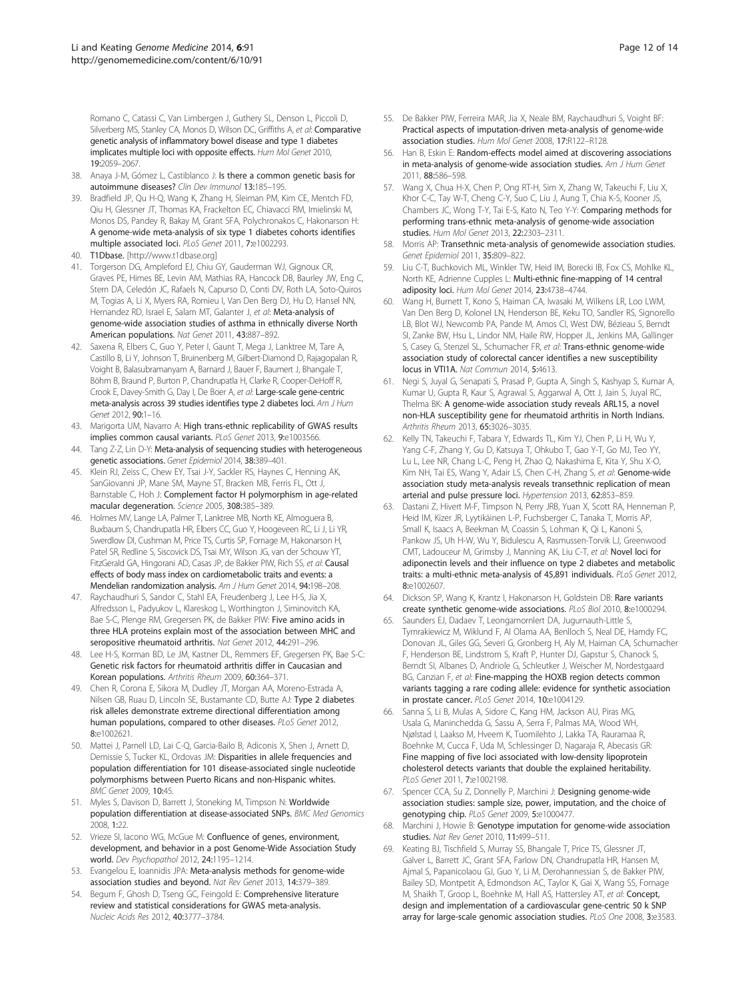<span id="page-11-0"></span>Romano C, Catassi C, Van Limbergen J, Guthery SL, Denson L, Piccoli D, Silverberg MS, Stanley CA, Monos D, Wilson DC, Griffiths A, et al: Comparative genetic analysis of inflammatory bowel disease and type 1 diabetes implicates multiple loci with opposite effects. Hum Mol Genet 2010, 19:2059–2067.

- 38. Anaya J-M, Gómez L, Castiblanco J: Is there a common genetic basis for autoimmune diseases? Clin Dev Immunol 13:185–195.
- 39. Bradfield JP, Qu H-Q, Wang K, Zhang H, Sleiman PM, Kim CE, Mentch FD, Qiu H, Glessner JT, Thomas KA, Frackelton EC, Chiavacci RM, Imielinski M, Monos DS, Pandey R, Bakay M, Grant SFA, Polychronakos C, Hakonarson H: A genome-wide meta-analysis of six type 1 diabetes cohorts identifies multiple associated loci. PLoS Genet 2011, 7:e1002293.
- 40. T1Dbase. [[http://www.t1dbase.org\]](http://www.t1dbase.org)
- 41. Torgerson DG, Ampleford EJ, Chiu GY, Gauderman WJ, Gignoux CR, Graves PE, Himes BE, Levin AM, Mathias RA, Hancock DB, Baurley JW, Eng C, Stern DA, Celedón JC, Rafaels N, Capurso D, Conti DV, Roth LA, Soto-Quiros M, Togias A, Li X, Myers RA, Romieu I, Van Den Berg DJ, Hu D, Hansel NN, Hernandez RD, Israel E, Salam MT, Galanter J, et al: Meta-analysis of genome-wide association studies of asthma in ethnically diverse North American populations. Nat Genet 2011, 43:887–892.
- 42. Saxena R, Elbers C, Guo Y, Peter I, Gaunt T, Mega J, Lanktree M, Tare A, Castillo B, Li Y, Johnson T, Bruinenberg M, Gilbert-Diamond D, Rajagopalan R, Voight B, Balasubramanyam A, Barnard J, Bauer F, Baumert J, Bhangale T, Böhm B, Braund P, Burton P, Chandrupatla H, Clarke R, Cooper-DeHoff R, Crook E, Davey-Smith G, Day I, De Boer A, et al: Large-scale gene-centric meta-analysis across 39 studies identifies type 2 diabetes loci. Am J Hum Genet 2012, 90:1–16.
- 43. Marigorta UM, Navarro A: High trans-ethnic replicability of GWAS results implies common causal variants. PLoS Genet 2013, 9:e1003566.
- 44. Tang Z-Z, Lin D-Y: Meta-analysis of sequencing studies with heterogeneous genetic associations. Genet Epidemiol 2014, 38:389–401.
- 45. Klein RJ, Zeiss C, Chew EY, Tsai J-Y, Sackler RS, Haynes C, Henning AK, SanGiovanni JP, Mane SM, Mayne ST, Bracken MB, Ferris FL, Ott J, Barnstable C, Hoh J: Complement factor H polymorphism in age-related macular degeneration. Science 2005, 308:385–389.
- 46. Holmes MV, Lange LA, Palmer T, Lanktree MB, North KE, Almoguera B, Buxbaum S, Chandrupatla HR, Elbers CC, Guo Y, Hoogeveen RC, Li J, Li YR, Swerdlow DI, Cushman M, Price TS, Curtis SP, Fornage M, Hakonarson H, Patel SR, Redline S, Siscovick DS, Tsai MY, Wilson JG, van der Schouw YT, FitzGerald GA, Hingorani AD, Casas JP, de Bakker PIW, Rich SS, et al: Causal effects of body mass index on cardiometabolic traits and events: a Mendelian randomization analysis. Am J Hum Genet 2014, 94:198–208.
- 47. Raychaudhuri S, Sandor C, Stahl EA, Freudenberg J, Lee H-S, Jia X, Alfredsson L, Padyukov L, Klareskog L, Worthington J, Siminovitch KA, Bae S-C, Plenge RM, Gregersen PK, de Bakker PIW: Five amino acids in three HLA proteins explain most of the association between MHC and seropositive rheumatoid arthritis. Nat Genet 2012, 44:291–296.
- 48. Lee H-S, Korman BD, Le JM, Kastner DL, Remmers EF, Gregersen PK, Bae S-C: Genetic risk factors for rheumatoid arthritis differ in Caucasian and Korean populations. Arthritis Rheum 2009, 60:364–371.
- 49. Chen R, Corona E, Sikora M, Dudley JT, Morgan AA, Moreno-Estrada A, Nilsen GB, Ruau D, Lincoln SE, Bustamante CD, Butte AJ: Type 2 diabetes risk alleles demonstrate extreme directional differentiation among human populations, compared to other diseases. PLoS Genet 2012, 8:e1002621.
- 50. Mattei J, Parnell LD, Lai C-Q, Garcia-Bailo B, Adiconis X, Shen J, Arnett D, Demissie S, Tucker KL, Ordovas JM: Disparities in allele frequencies and population differentiation for 101 disease-associated single nucleotide polymorphisms between Puerto Ricans and non-Hispanic whites. BMC Genet 2009, 10:45.
- 51. Myles S, Davison D, Barrett J, Stoneking M, Timpson N: Worldwide population differentiation at disease-associated SNPs. BMC Med Genomics 2008, 1:22.
- 52. Vrieze SI, Iacono WG, McGue M: Confluence of genes, environment, development, and behavior in a post Genome-Wide Association Study world. Dev Psychopathol 2012, 24:1195–1214.
- 53. Evangelou E, Ioannidis JPA: Meta-analysis methods for genome-wide association studies and beyond. Nat Rev Genet 2013, 14:379–389.
- 54. Begum F, Ghosh D, Tseng GC, Feingold E: Comprehensive literature review and statistical considerations for GWAS meta-analysis. Nucleic Acids Res 2012, 40:3777–3784.
- 55. De Bakker PIW, Ferreira MAR, Jia X, Neale BM, Raychaudhuri S, Voight BF: Practical aspects of imputation-driven meta-analysis of genome-wide association studies. Hum Mol Genet 2008, 17:R122–R128.
- 56. Han B, Eskin E: Random-effects model aimed at discovering associations in meta-analysis of genome-wide association studies. Am J Hum Genet 2011, 88:586–598.
- 57. Wang X, Chua H-X, Chen P, Ong RT-H, Sim X, Zhang W, Takeuchi F, Liu X, Khor C-C, Tay W-T, Cheng C-Y, Suo C, Liu J, Aung T, Chia K-S, Kooner JS, Chambers JC, Wong T-Y, Tai E-S, Kato N, Teo Y-Y: Comparing methods for performing trans-ethnic meta-analysis of genome-wide association studies. Hum Mol Genet 2013, 22:2303–2311.
- 58. Morris AP: Transethnic meta-analysis of genomewide association studies. Genet Epidemiol 2011, 35:809–822.
- 59. Liu C-T, Buchkovich ML, Winkler TW, Heid IM, Borecki IB, Fox CS, Mohlke KL, North KE, Adrienne Cupples L: Multi-ethnic fine-mapping of 14 central adiposity loci. Hum Mol Genet 2014, 23:4738–4744.
- 60. Wang H, Burnett T, Kono S, Haiman CA, Iwasaki M, Wilkens LR, Loo LWM, Van Den Berg D, Kolonel LN, Henderson BE, Keku TO, Sandler RS, Signorello LB, Blot WJ, Newcomb PA, Pande M, Amos CI, West DW, Bézieau S, Berndt SI, Zanke BW, Hsu L, Lindor NM, Haile RW, Hopper JL, Jenkins MA, Gallinger S, Casey G, Stenzel SL, Schumacher FR, et al: Trans-ethnic genome-wide association study of colorectal cancer identifies a new susceptibility locus in VTI1A. Nat Commun 2014, 5:4613.
- 61. Negi S, Juyal G, Senapati S, Prasad P, Gupta A, Singh S, Kashyap S, Kumar A, Kumar U, Gupta R, Kaur S, Agrawal S, Aggarwal A, Ott J, Jain S, Juyal RC, Thelma BK: A genome-wide association study reveals ARL15, a novel non-HLA susceptibility gene for rheumatoid arthritis in North Indians. Arthritis Rheum 2013, 65:3026–3035.
- 62. Kelly TN, Takeuchi F, Tabara Y, Edwards TL, Kim YJ, Chen P, Li H, Wu Y, Yang C-F, Zhang Y, Gu D, Katsuya T, Ohkubo T, Gao Y-T, Go MJ, Teo YY, Lu L, Lee NR, Chang L-C, Peng H, Zhao Q, Nakashima E, Kita Y, Shu X-O, Kim NH, Tai ES, Wang Y, Adair LS, Chen C-H, Zhang S, et al: Genome-wide association study meta-analysis reveals transethnic replication of mean arterial and pulse pressure loci. Hypertension 2013, 62:853–859.
- 63. Dastani Z, Hivert M-F, Timpson N, Perry JRB, Yuan X, Scott RA, Henneman P, Heid IM, Kizer JR, Lyytikäinen L-P, Fuchsberger C, Tanaka T, Morris AP, Small K, Isaacs A, Beekman M, Coassin S, Lohman K, Qi L, Kanoni S, Pankow JS, Uh H-W, Wu Y, Bidulescu A, Rasmussen-Torvik LJ, Greenwood CMT, Ladouceur M, Grimsby J, Manning AK, Liu C-T, et al: Novel loci for adiponectin levels and their influence on type 2 diabetes and metabolic traits: a multi-ethnic meta-analysis of 45,891 individuals. PLoS Genet 2012, 8:e1002607.
- 64. Dickson SP, Wang K, Krantz I, Hakonarson H, Goldstein DB: Rare variants create synthetic genome-wide associations. PLoS Biol 2010, 8:e1000294.
- 65. Saunders EJ, Dadaev T, Leongamornlert DA, Jugurnauth-Little S, Tymrakiewicz M, Wiklund F, Al Olama AA, Benlloch S, Neal DE, Hamdy FC, Donovan JL, Giles GG, Severi G, Gronberg H, Aly M, Haiman CA, Schumacher F, Henderson BE, Lindstrom S, Kraft P, Hunter DJ, Gapstur S, Chanock S, Berndt SI, Albanes D, Andriole G, Schleutker J, Weischer M, Nordestgaard BG, Canzian F, et al: Fine-mapping the HOXB region detects common variants tagging a rare coding allele: evidence for synthetic association in prostate cancer. PLoS Genet 2014, 10:e1004129.
- 66. Sanna S, Li B, Mulas A, Sidore C, Kang HM, Jackson AU, Piras MG, Usala G, Maninchedda G, Sassu A, Serra F, Palmas MA, Wood WH, Njølstad I, Laakso M, Hveem K, Tuomilehto J, Lakka TA, Rauramaa R, Boehnke M, Cucca F, Uda M, Schlessinger D, Nagaraja R, Abecasis GR: Fine mapping of five loci associated with low-density lipoprotein cholesterol detects variants that double the explained heritability. PLoS Genet 2011, 7:e1002198.
- 67. Spencer CCA, Su Z, Donnelly P, Marchini J: Designing genome-wide association studies: sample size, power, imputation, and the choice of genotyping chip. PLoS Genet 2009, 5:e1000477.
- 68. Marchini J, Howie B: Genotype imputation for genome-wide association studies. Nat Rev Genet 2010, 11:499–511.
- 69. Keating BJ, Tischfield S, Murray SS, Bhangale T, Price TS, Glessner JT, Galver L, Barrett JC, Grant SFA, Farlow DN, Chandrupatla HR, Hansen M, Ajmal S, Papanicolaou GJ, Guo Y, Li M, Derohannessian S, de Bakker PIW, Bailey SD, Montpetit A, Edmondson AC, Taylor K, Gai X, Wang SS, Fornage M, Shaikh T, Groop L, Boehnke M, Hall AS, Hattersley AT, et al: Concept, design and implementation of a cardiovascular gene-centric 50 k SNP array for large-scale genomic association studies. PLoS One 2008, 3:e3583.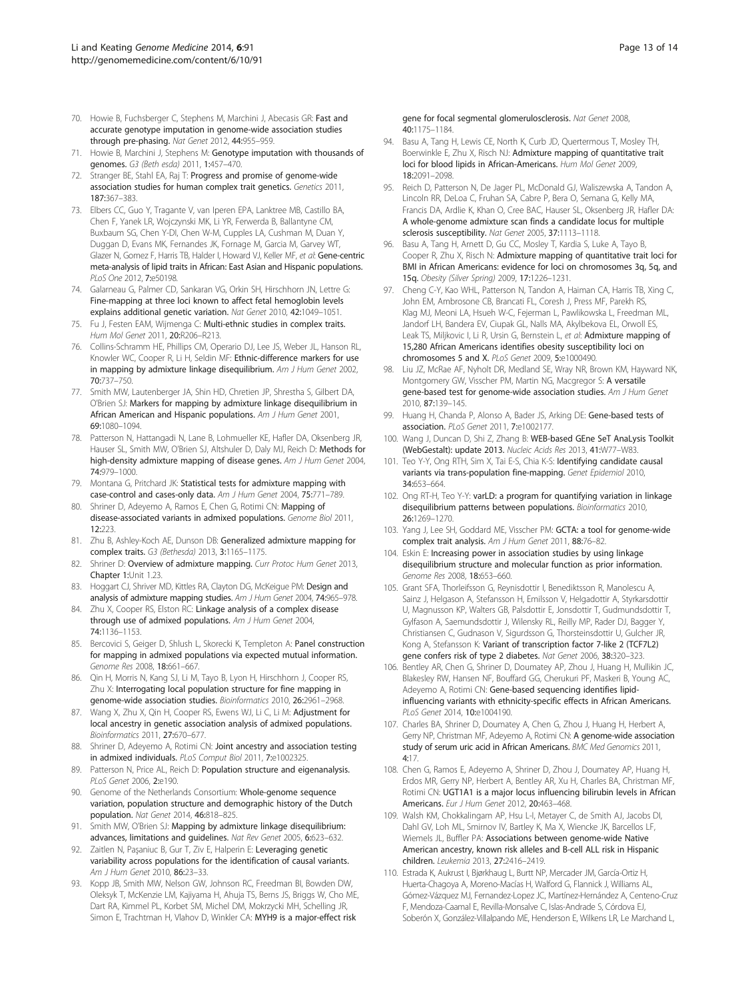- <span id="page-12-0"></span>70. Howie B, Fuchsberger C, Stephens M, Marchini J, Abecasis GR: Fast and accurate genotype imputation in genome-wide association studies through pre-phasing. Nat Genet 2012, 44:955–959.
- 71. Howie B, Marchini J, Stephens M: Genotype imputation with thousands of genomes. G3 (Beth esda) 2011, 1:457–470.
- 72. Stranger BE, Stahl EA, Raj T: Progress and promise of genome-wide association studies for human complex trait genetics. Genetics 2011, 187:367–383.
- 73. Elbers CC, Guo Y, Tragante V, van Iperen EPA, Lanktree MB, Castillo BA, Chen F, Yanek LR, Wojczynski MK, Li YR, Ferwerda B, Ballantyne CM, Buxbaum SG, Chen Y-DI, Chen W-M, Cupples LA, Cushman M, Duan Y, Duggan D, Evans MK, Fernandes JK, Fornage M, Garcia M, Garvey WT, Glazer N, Gomez F, Harris TB, Halder I, Howard VJ, Keller MF, et al: Gene-centric meta-analysis of lipid traits in African: East Asian and Hispanic populations. PLoS One 2012, 7:e50198.
- 74. Galarneau G, Palmer CD, Sankaran VG, Orkin SH, Hirschhorn JN, Lettre G: Fine-mapping at three loci known to affect fetal hemoglobin levels explains additional genetic variation. Nat Genet 2010, 42:1049–1051.
- 75. Fu J, Festen EAM, Wijmenga C: Multi-ethnic studies in complex traits. Hum Mol Genet 2011, 20:R206–R213.
- 76. Collins-Schramm HE, Phillips CM, Operario DJ, Lee JS, Weber JL, Hanson RL, Knowler WC, Cooper R, Li H, Seldin MF: Ethnic-difference markers for use in mapping by admixture linkage disequilibrium. Am J Hum Genet 2002, 70:737–750.
- 77. Smith MW, Lautenberger JA, Shin HD, Chretien JP, Shrestha S, Gilbert DA, O'Brien SJ: Markers for mapping by admixture linkage disequilibrium in African American and Hispanic populations. Am J Hum Genet 2001, 69:1080–1094.
- 78. Patterson N, Hattangadi N, Lane B, Lohmueller KE, Hafler DA, Oksenberg JR, Hauser SL, Smith MW, O'Brien SJ, Altshuler D, Daly MJ, Reich D: Methods for high-density admixture mapping of disease genes. Am J Hum Genet 2004, 74:979–1000.
- 79. Montana G, Pritchard JK: Statistical tests for admixture mapping with case-control and cases-only data. Am J Hum Genet 2004, 75:771–789.
- 80. Shriner D, Adeyemo A, Ramos E, Chen G, Rotimi CN: Mapping of disease-associated variants in admixed populations. Genome Biol 2011, 12:223.
- 81. Zhu B, Ashley-Koch AE, Dunson DB: Generalized admixture mapping for complex traits. G3 (Bethesda) 2013, 3:1165–1175.
- 82. Shriner D: Overview of admixture mapping. Curr Protoc Hum Genet 2013, Chapter 1:Unit 1.23.
- 83. Hoggart CJ, Shriver MD, Kittles RA, Clayton DG, McKeigue PM: Design and analysis of admixture mapping studies. Am J Hum Genet 2004, 74:965–978.
- 84. Zhu X, Cooper RS, Elston RC: Linkage analysis of a complex disease through use of admixed populations. Am J Hum Genet 2004, 74:1136–1153.
- 85. Bercovici S, Geiger D, Shlush L, Skorecki K, Templeton A: Panel construction for mapping in admixed populations via expected mutual information. Genome Res 2008, 18:661–667.
- 86. Qin H, Morris N, Kang SJ, Li M, Tayo B, Lyon H, Hirschhorn J, Cooper RS, Zhu X: Interrogating local population structure for fine mapping in genome-wide association studies. Bioinformatics 2010, 26:2961–2968.
- 87. Wang X, Zhu X, Qin H, Cooper RS, Ewens WJ, Li C, Li M: Adjustment for local ancestry in genetic association analysis of admixed populations. Bioinformatics 2011, 27:670–677.
- 88. Shriner D, Adeyemo A, Rotimi CN: Joint ancestry and association testing in admixed individuals. PLoS Comput Biol 2011, 7:e1002325.
- 89. Patterson N, Price AL, Reich D: Population structure and eigenanalysis. PLoS Genet 2006, 2:e190.
- 90. Genome of the Netherlands Consortium: Whole-genome sequence variation, population structure and demographic history of the Dutch population. Nat Genet 2014, 46:818–825.
- 91. Smith MW, O'Brien SJ: Mapping by admixture linkage disequilibrium: advances, limitations and guidelines. Nat Rev Genet 2005, 6:623–632.
- 92. Zaitlen N, Paşaniuc B, Gur T, Ziv E, Halperin E: Leveraging genetic variability across populations for the identification of causal variants. Am J Hum Genet 2010, 86:23–33.
- 93. Kopp JB, Smith MW, Nelson GW, Johnson RC, Freedman BI, Bowden DW, Oleksyk T, McKenzie LM, Kajiyama H, Ahuja TS, Berns JS, Briggs W, Cho ME, Dart RA, Kimmel PL, Korbet SM, Michel DM, Mokrzycki MH, Schelling JR, Simon E, Trachtman H, Vlahov D, Winkler CA: MYH9 is a major-effect risk

gene for focal segmental glomerulosclerosis. Nat Genet 2008, 40:1175–1184.

- 94. Basu A, Tang H, Lewis CE, North K, Curb JD, Quertermous T, Mosley TH, Boerwinkle E, Zhu X, Risch NJ: Admixture mapping of quantitative trait loci for blood lipids in African-Americans. Hum Mol Genet 2009, 18:2091–2098.
- 95. Reich D, Patterson N, De Jager PL, McDonald GJ, Waliszewska A, Tandon A, Lincoln RR, DeLoa C, Fruhan SA, Cabre P, Bera O, Semana G, Kelly MA, Francis DA, Ardlie K, Khan O, Cree BAC, Hauser SL, Oksenberg JR, Hafler DA: A whole-genome admixture scan finds a candidate locus for multiple sclerosis susceptibility. Nat Genet 2005, 37:1113–1118.
- 96. Basu A, Tang H, Arnett D, Gu CC, Mosley T, Kardia S, Luke A, Tayo B, Cooper R, Zhu X, Risch N: Admixture mapping of quantitative trait loci for BMI in African Americans: evidence for loci on chromosomes 3q, 5q, and 15q. Obesity (Silver Spring) 2009, 17:1226–1231.
- 97. Cheng C-Y, Kao WHL, Patterson N, Tandon A, Haiman CA, Harris TB, Xing C, John EM, Ambrosone CB, Brancati FL, Coresh J, Press MF, Parekh RS, Klag MJ, Meoni LA, Hsueh W-C, Fejerman L, Pawlikowska L, Freedman ML, Jandorf LH, Bandera EV, Ciupak GL, Nalls MA, Akylbekova EL, Orwoll ES, Leak TS, Miljkovic I, Li R, Ursin G, Bernstein L, et al: Admixture mapping of 15,280 African Americans identifies obesity susceptibility loci on chromosomes 5 and X. PLoS Genet 2009, 5:e1000490.
- 98. Liu JZ, McRae AF, Nyholt DR, Medland SE, Wray NR, Brown KM, Hayward NK, Montgomery GW, Visscher PM, Martin NG, Macgregor S: A versatile gene-based test for genome-wide association studies. Am J Hum Genet 2010, 87:139–145.
- 99. Huang H, Chanda P, Alonso A, Bader JS, Arking DE: Gene-based tests of association. PLoS Genet 2011, 7:e1002177.
- 100. Wang J, Duncan D, Shi Z, Zhang B: WEB-based GEne SeT AnaLysis Toolkit (WebGestalt): update 2013. Nucleic Acids Res 2013, 41:W77–W83.
- 101. Teo Y-Y, Ong RTH, Sim X, Tai E-S, Chia K-S: Identifying candidate causal variants via trans-population fine-mapping. Genet Epidemiol 2010, 34:653–664.
- 102. Ong RT-H, Teo Y-Y: varLD: a program for quantifying variation in linkage disequilibrium patterns between populations. Bioinformatics 2010, 26:1269–1270.
- 103. Yang J, Lee SH, Goddard ME, Visscher PM: GCTA: a tool for genome-wide complex trait analysis. Am J Hum Genet 2011, 88:76-82.
- 104. Eskin E: Increasing power in association studies by using linkage disequilibrium structure and molecular function as prior information. Genome Res 2008, 18:653–660.
- 105. Grant SFA, Thorleifsson G, Reynisdottir I, Benediktsson R, Manolescu A, Sainz J, Helgason A, Stefansson H, Emilsson V, Helgadottir A, Styrkarsdottir U, Magnusson KP, Walters GB, Palsdottir E, Jonsdottir T, Gudmundsdottir T, Gylfason A, Saemundsdottir J, Wilensky RL, Reilly MP, Rader DJ, Bagger Y, Christiansen C, Gudnason V, Sigurdsson G, Thorsteinsdottir U, Gulcher JR, Kong A, Stefansson K: Variant of transcription factor 7-like 2 (TCF7L2) gene confers risk of type 2 diabetes. Nat Genet 2006, 38:320–323.
- 106. Bentley AR, Chen G, Shriner D, Doumatey AP, Zhou J, Huang H, Mullikin JC, Blakesley RW, Hansen NF, Bouffard GG, Cherukuri PF, Maskeri B, Young AC, Adeyemo A, Rotimi CN: Gene-based sequencing identifies lipidinfluencing variants with ethnicity-specific effects in African Americans. PLoS Genet 2014, 10:e1004190.
- 107. Charles BA, Shriner D, Doumatey A, Chen G, Zhou J, Huang H, Herbert A, Gerry NP, Christman MF, Adeyemo A, Rotimi CN: A genome-wide association study of serum uric acid in African Americans. BMC Med Genomics 2011, 4:17.
- 108. Chen G, Ramos E, Adeyemo A, Shriner D, Zhou J, Doumatey AP, Huang H, Erdos MR, Gerry NP, Herbert A, Bentley AR, Xu H, Charles BA, Christman MF, Rotimi CN: UGT1A1 is a major locus influencing bilirubin levels in African Americans. Eur J Hum Genet 2012, 20:463–468.
- 109. Walsh KM, Chokkalingam AP, Hsu L-I, Metayer C, de Smith AJ, Jacobs DI, Dahl GV, Loh ML, Smirnov IV, Bartley K, Ma X, Wiencke JK, Barcellos LF, Wiemels JL, Buffler PA: Associations between genome-wide Native American ancestry, known risk alleles and B-cell ALL risk in Hispanic children. Leukemia 2013, 27:2416–2419.
- 110. Estrada K, Aukrust I, Bjørkhaug L, Burtt NP, Mercader JM, García-Ortiz H, Huerta-Chagoya A, Moreno-Macías H, Walford G, Flannick J, Williams AL, Gómez-Vázquez MJ, Fernandez-Lopez JC, Martínez-Hernández A, Centeno-Cruz F, Mendoza-Caamal E, Revilla-Monsalve C, Islas-Andrade S, Córdova EJ, Soberón X, González-Villalpando ME, Henderson E, Wilkens LR, Le Marchand L,